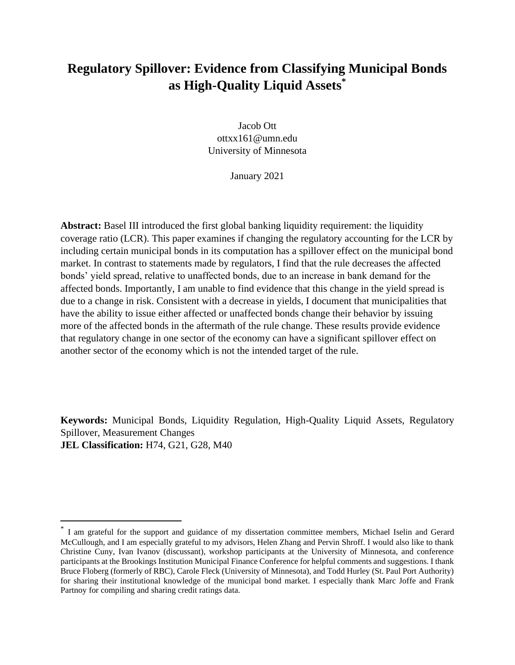# **Regulatory Spillover: Evidence from Classifying Municipal Bonds as High-Quality Liquid Assets\***

Jacob Ott ottxx161@umn.edu University of Minnesota

January 2021

**Abstract:** Basel III introduced the first global banking liquidity requirement: the liquidity coverage ratio (LCR). This paper examines if changing the regulatory accounting for the LCR by including certain municipal bonds in its computation has a spillover effect on the municipal bond market. In contrast to statements made by regulators, I find that the rule decreases the affected bonds' yield spread, relative to unaffected bonds, due to an increase in bank demand for the affected bonds. Importantly, I am unable to find evidence that this change in the yield spread is due to a change in risk. Consistent with a decrease in yields, I document that municipalities that have the ability to issue either affected or unaffected bonds change their behavior by issuing more of the affected bonds in the aftermath of the rule change. These results provide evidence that regulatory change in one sector of the economy can have a significant spillover effect on another sector of the economy which is not the intended target of the rule.

**Keywords:** Municipal Bonds, Liquidity Regulation, High-Quality Liquid Assets, Regulatory Spillover, Measurement Changes **JEL Classification:** H74, G21, G28, M40

<sup>\*</sup> I am grateful for the support and guidance of my dissertation committee members, Michael Iselin and Gerard McCullough, and I am especially grateful to my advisors, Helen Zhang and Pervin Shroff. I would also like to thank Christine Cuny, Ivan Ivanov (discussant), workshop participants at the University of Minnesota, and conference participants at the Brookings Institution Municipal Finance Conference for helpful comments and suggestions. I thank Bruce Floberg (formerly of RBC), Carole Fleck (University of Minnesota), and Todd Hurley (St. Paul Port Authority) for sharing their institutional knowledge of the municipal bond market. I especially thank Marc Joffe and Frank Partnoy for compiling and sharing credit ratings data.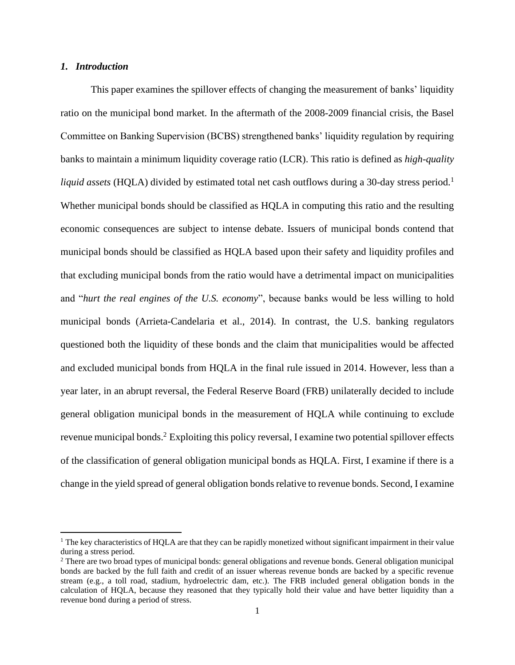### *1. Introduction*

This paper examines the spillover effects of changing the measurement of banks' liquidity ratio on the municipal bond market. In the aftermath of the 2008-2009 financial crisis, the Basel Committee on Banking Supervision (BCBS) strengthened banks' liquidity regulation by requiring banks to maintain a minimum liquidity coverage ratio (LCR). This ratio is defined as *high-quality liquid assets* (HQLA) divided by estimated total net cash outflows during a 30-day stress period.<sup>1</sup> Whether municipal bonds should be classified as HQLA in computing this ratio and the resulting economic consequences are subject to intense debate. Issuers of municipal bonds contend that municipal bonds should be classified as HQLA based upon their safety and liquidity profiles and that excluding municipal bonds from the ratio would have a detrimental impact on municipalities and "*hurt the real engines of the U.S. economy*", because banks would be less willing to hold municipal bonds (Arrieta-Candelaria et al., 2014). In contrast, the U.S. banking regulators questioned both the liquidity of these bonds and the claim that municipalities would be affected and excluded municipal bonds from HQLA in the final rule issued in 2014. However, less than a year later, in an abrupt reversal, the Federal Reserve Board (FRB) unilaterally decided to include general obligation municipal bonds in the measurement of HQLA while continuing to exclude revenue municipal bonds.<sup>2</sup> Exploiting this policy reversal, I examine two potential spillover effects of the classification of general obligation municipal bonds as HQLA. First, I examine if there is a change in the yield spread of general obligation bonds relative to revenue bonds. Second, I examine

 $<sup>1</sup>$  The key characteristics of HOLA are that they can be rapidly monetized without significant impairment in their value</sup> during a stress period.

<sup>2</sup> There are two broad types of municipal bonds: general obligations and revenue bonds. General obligation municipal bonds are backed by the full faith and credit of an issuer whereas revenue bonds are backed by a specific revenue stream (e.g., a toll road, stadium, hydroelectric dam, etc.). The FRB included general obligation bonds in the calculation of HQLA, because they reasoned that they typically hold their value and have better liquidity than a revenue bond during a period of stress.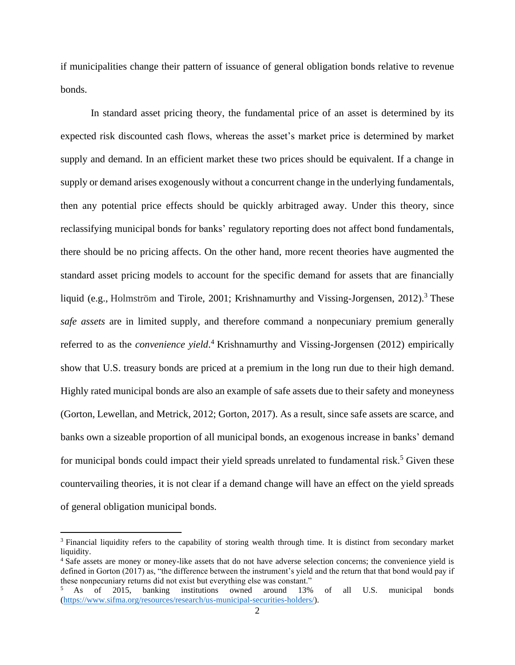if municipalities change their pattern of issuance of general obligation bonds relative to revenue bonds.

In standard asset pricing theory, the fundamental price of an asset is determined by its expected risk discounted cash flows, whereas the asset's market price is determined by market supply and demand. In an efficient market these two prices should be equivalent. If a change in supply or demand arises exogenously without a concurrent change in the underlying fundamentals, then any potential price effects should be quickly arbitraged away. Under this theory, since reclassifying municipal bonds for banks' regulatory reporting does not affect bond fundamentals, there should be no pricing affects. On the other hand, more recent theories have augmented the standard asset pricing models to account for the specific demand for assets that are financially liquid (e.g., Holmström and Tirole, 2001; Krishnamurthy and Vissing-Jorgensen, 2012).<sup>3</sup> These *safe assets* are in limited supply, and therefore command a nonpecuniary premium generally referred to as the *convenience yield*. <sup>4</sup> Krishnamurthy and Vissing-Jorgensen (2012) empirically show that U.S. treasury bonds are priced at a premium in the long run due to their high demand. Highly rated municipal bonds are also an example of safe assets due to their safety and moneyness (Gorton, Lewellan, and Metrick, 2012; Gorton, 2017). As a result, since safe assets are scarce, and banks own a sizeable proportion of all municipal bonds, an exogenous increase in banks' demand for municipal bonds could impact their yield spreads unrelated to fundamental risk.<sup>5</sup> Given these countervailing theories, it is not clear if a demand change will have an effect on the yield spreads of general obligation municipal bonds.

<sup>&</sup>lt;sup>3</sup> Financial liquidity refers to the capability of storing wealth through time. It is distinct from secondary market liquidity.

<sup>&</sup>lt;sup>4</sup> Safe assets are money or money-like assets that do not have adverse selection concerns; the convenience yield is defined in Gorton (2017) as, "the difference between the instrument's yield and the return that that bond would pay if these nonpecuniary returns did not exist but everything else was constant."

<sup>5</sup> As of 2015, banking institutions owned around 13% of all U.S. municipal bonds [\(https://www.sifma.org/resources/research/us-municipal-securities-holders/\)](https://www.sifma.org/resources/research/us-municipal-securities-holders/).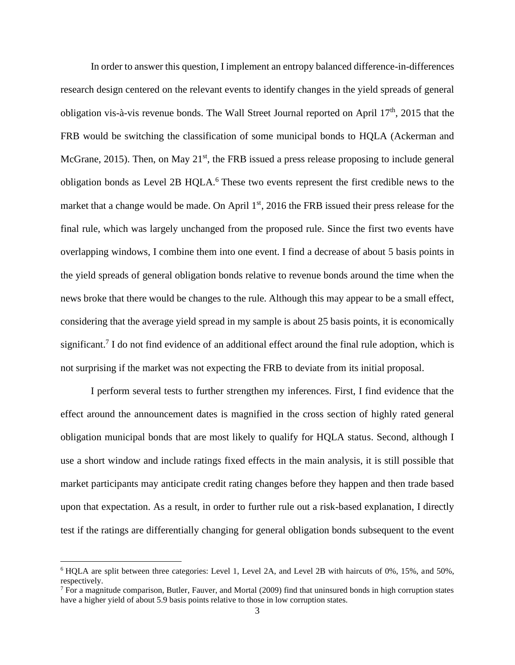In order to answer this question, I implement an entropy balanced difference-in-differences research design centered on the relevant events to identify changes in the yield spreads of general obligation vis-à-vis revenue bonds. The Wall Street Journal reported on April 17<sup>th</sup>, 2015 that the FRB would be switching the classification of some municipal bonds to HQLA (Ackerman and McGrane, 2015). Then, on May  $21<sup>st</sup>$ , the FRB issued a press release proposing to include general obligation bonds as Level 2B HQLA.<sup>6</sup> These two events represent the first credible news to the market that a change would be made. On April  $1<sup>st</sup>$ , 2016 the FRB issued their press release for the final rule, which was largely unchanged from the proposed rule. Since the first two events have overlapping windows, I combine them into one event. I find a decrease of about 5 basis points in the yield spreads of general obligation bonds relative to revenue bonds around the time when the news broke that there would be changes to the rule. Although this may appear to be a small effect, considering that the average yield spread in my sample is about 25 basis points, it is economically significant.<sup>7</sup> I do not find evidence of an additional effect around the final rule adoption, which is not surprising if the market was not expecting the FRB to deviate from its initial proposal.

I perform several tests to further strengthen my inferences. First, I find evidence that the effect around the announcement dates is magnified in the cross section of highly rated general obligation municipal bonds that are most likely to qualify for HQLA status. Second, although I use a short window and include ratings fixed effects in the main analysis, it is still possible that market participants may anticipate credit rating changes before they happen and then trade based upon that expectation. As a result, in order to further rule out a risk-based explanation, I directly test if the ratings are differentially changing for general obligation bonds subsequent to the event

<sup>6</sup> HQLA are split between three categories: Level 1, Level 2A, and Level 2B with haircuts of 0%, 15%, and 50%, respectively.

 $<sup>7</sup>$  For a magnitude comparison, Butler, Fauver, and Mortal (2009) find that uninsured bonds in high corruption states</sup> have a higher yield of about 5.9 basis points relative to those in low corruption states.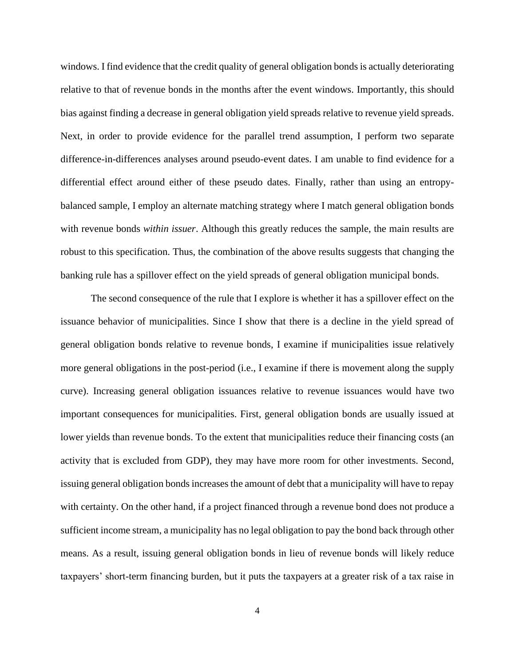windows. I find evidence that the credit quality of general obligation bonds is actually deteriorating relative to that of revenue bonds in the months after the event windows. Importantly, this should bias against finding a decrease in general obligation yield spreads relative to revenue yield spreads. Next, in order to provide evidence for the parallel trend assumption, I perform two separate difference-in-differences analyses around pseudo-event dates. I am unable to find evidence for a differential effect around either of these pseudo dates. Finally, rather than using an entropybalanced sample, I employ an alternate matching strategy where I match general obligation bonds with revenue bonds *within issuer*. Although this greatly reduces the sample, the main results are robust to this specification. Thus, the combination of the above results suggests that changing the banking rule has a spillover effect on the yield spreads of general obligation municipal bonds.

The second consequence of the rule that I explore is whether it has a spillover effect on the issuance behavior of municipalities. Since I show that there is a decline in the yield spread of general obligation bonds relative to revenue bonds, I examine if municipalities issue relatively more general obligations in the post-period (i.e., I examine if there is movement along the supply curve). Increasing general obligation issuances relative to revenue issuances would have two important consequences for municipalities. First, general obligation bonds are usually issued at lower yields than revenue bonds. To the extent that municipalities reduce their financing costs (an activity that is excluded from GDP), they may have more room for other investments. Second, issuing general obligation bonds increases the amount of debt that a municipality will have to repay with certainty. On the other hand, if a project financed through a revenue bond does not produce a sufficient income stream, a municipality has no legal obligation to pay the bond back through other means. As a result, issuing general obligation bonds in lieu of revenue bonds will likely reduce taxpayers' short-term financing burden, but it puts the taxpayers at a greater risk of a tax raise in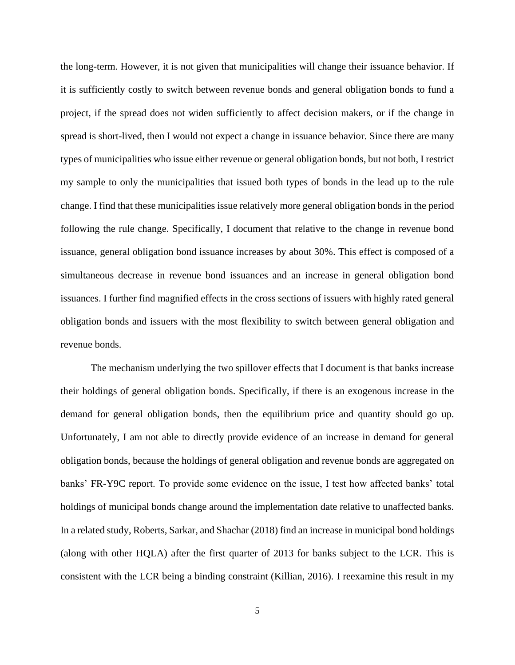the long-term. However, it is not given that municipalities will change their issuance behavior. If it is sufficiently costly to switch between revenue bonds and general obligation bonds to fund a project, if the spread does not widen sufficiently to affect decision makers, or if the change in spread is short-lived, then I would not expect a change in issuance behavior. Since there are many types of municipalities who issue either revenue or general obligation bonds, but not both, I restrict my sample to only the municipalities that issued both types of bonds in the lead up to the rule change. I find that these municipalities issue relatively more general obligation bonds in the period following the rule change. Specifically, I document that relative to the change in revenue bond issuance, general obligation bond issuance increases by about 30%. This effect is composed of a simultaneous decrease in revenue bond issuances and an increase in general obligation bond issuances. I further find magnified effects in the cross sections of issuers with highly rated general obligation bonds and issuers with the most flexibility to switch between general obligation and revenue bonds.

The mechanism underlying the two spillover effects that I document is that banks increase their holdings of general obligation bonds. Specifically, if there is an exogenous increase in the demand for general obligation bonds, then the equilibrium price and quantity should go up. Unfortunately, I am not able to directly provide evidence of an increase in demand for general obligation bonds, because the holdings of general obligation and revenue bonds are aggregated on banks' FR-Y9C report. To provide some evidence on the issue, I test how affected banks' total holdings of municipal bonds change around the implementation date relative to unaffected banks. In a related study, Roberts, Sarkar, and Shachar (2018) find an increase in municipal bond holdings (along with other HQLA) after the first quarter of 2013 for banks subject to the LCR. This is consistent with the LCR being a binding constraint (Killian, 2016). I reexamine this result in my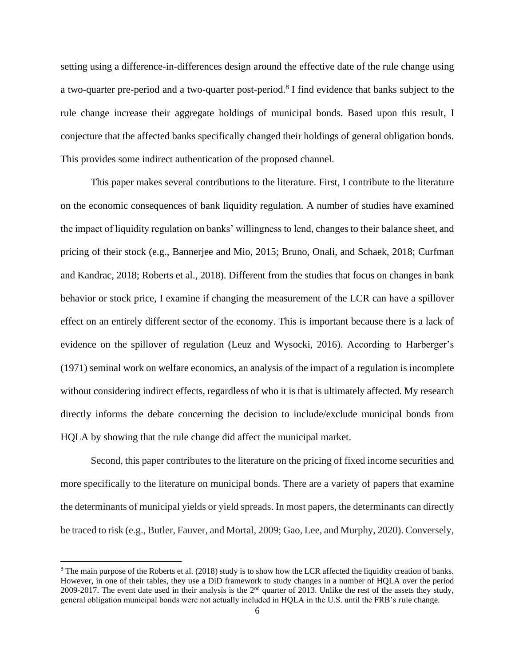setting using a difference-in-differences design around the effective date of the rule change using a two-quarter pre-period and a two-quarter post-period.<sup>8</sup> I find evidence that banks subject to the rule change increase their aggregate holdings of municipal bonds. Based upon this result, I conjecture that the affected banks specifically changed their holdings of general obligation bonds. This provides some indirect authentication of the proposed channel.

This paper makes several contributions to the literature. First, I contribute to the literature on the economic consequences of bank liquidity regulation. A number of studies have examined the impact of liquidity regulation on banks' willingness to lend, changes to their balance sheet, and pricing of their stock (e.g., Bannerjee and Mio, 2015; Bruno, Onali, and Schaek, 2018; Curfman and Kandrac, 2018; Roberts et al., 2018). Different from the studies that focus on changes in bank behavior or stock price, I examine if changing the measurement of the LCR can have a spillover effect on an entirely different sector of the economy. This is important because there is a lack of evidence on the spillover of regulation (Leuz and Wysocki, 2016). According to Harberger's (1971) seminal work on welfare economics, an analysis of the impact of a regulation is incomplete without considering indirect effects, regardless of who it is that is ultimately affected. My research directly informs the debate concerning the decision to include/exclude municipal bonds from HQLA by showing that the rule change did affect the municipal market.

Second, this paper contributes to the literature on the pricing of fixed income securities and more specifically to the literature on municipal bonds. There are a variety of papers that examine the determinants of municipal yields or yield spreads. In most papers, the determinants can directly be traced to risk (e.g., Butler, Fauver, and Mortal, 2009; Gao, Lee, and Murphy, 2020). Conversely,

<sup>&</sup>lt;sup>8</sup> The main purpose of the Roberts et al. (2018) study is to show how the LCR affected the liquidity creation of banks. However, in one of their tables, they use a DiD framework to study changes in a number of HQLA over the period 2009-2017. The event date used in their analysis is the 2nd quarter of 2013. Unlike the rest of the assets they study, general obligation municipal bonds were not actually included in HQLA in the U.S. until the FRB's rule change.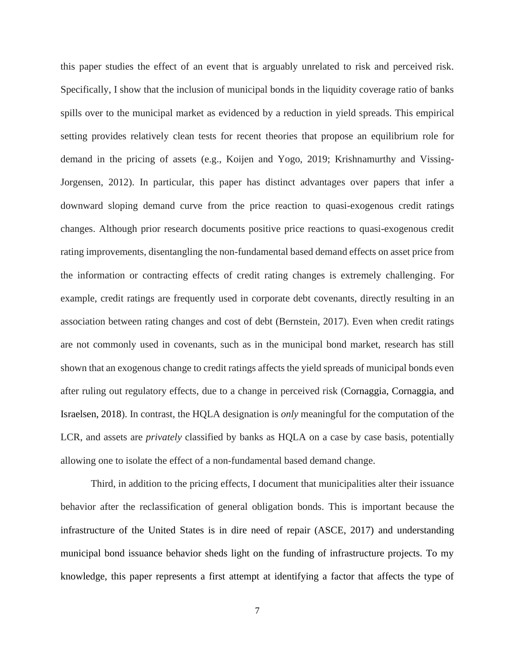this paper studies the effect of an event that is arguably unrelated to risk and perceived risk. Specifically, I show that the inclusion of municipal bonds in the liquidity coverage ratio of banks spills over to the municipal market as evidenced by a reduction in yield spreads. This empirical setting provides relatively clean tests for recent theories that propose an equilibrium role for demand in the pricing of assets (e.g., Koijen and Yogo, 2019; Krishnamurthy and Vissing-Jorgensen, 2012). In particular, this paper has distinct advantages over papers that infer a downward sloping demand curve from the price reaction to quasi-exogenous credit ratings changes. Although prior research documents positive price reactions to quasi-exogenous credit rating improvements, disentangling the non-fundamental based demand effects on asset price from the information or contracting effects of credit rating changes is extremely challenging. For example, credit ratings are frequently used in corporate debt covenants, directly resulting in an association between rating changes and cost of debt (Bernstein, 2017). Even when credit ratings are not commonly used in covenants, such as in the municipal bond market, research has still shown that an exogenous change to credit ratings affects the yield spreads of municipal bonds even after ruling out regulatory effects, due to a change in perceived risk (Cornaggia, Cornaggia, and Israelsen, 2018). In contrast, the HQLA designation is *only* meaningful for the computation of the LCR, and assets are *privately* classified by banks as HQLA on a case by case basis, potentially allowing one to isolate the effect of a non-fundamental based demand change.

Third, in addition to the pricing effects, I document that municipalities alter their issuance behavior after the reclassification of general obligation bonds. This is important because the infrastructure of the United States is in dire need of repair (ASCE, 2017) and understanding municipal bond issuance behavior sheds light on the funding of infrastructure projects. To my knowledge, this paper represents a first attempt at identifying a factor that affects the type of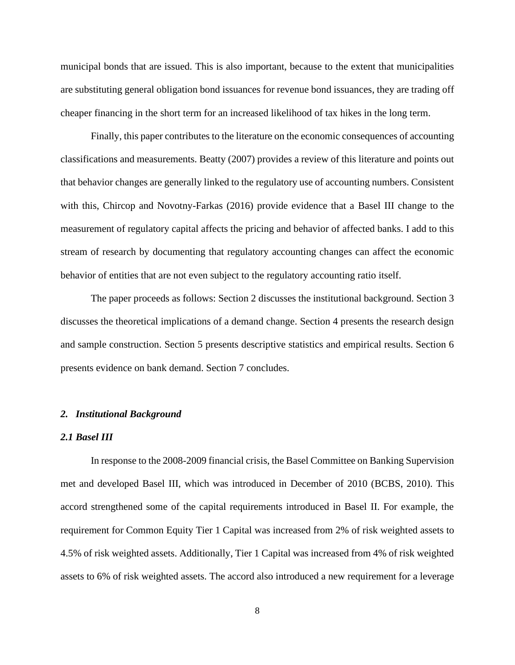municipal bonds that are issued. This is also important, because to the extent that municipalities are substituting general obligation bond issuances for revenue bond issuances, they are trading off cheaper financing in the short term for an increased likelihood of tax hikes in the long term.

Finally, this paper contributes to the literature on the economic consequences of accounting classifications and measurements. Beatty (2007) provides a review of this literature and points out that behavior changes are generally linked to the regulatory use of accounting numbers. Consistent with this, Chircop and Novotny-Farkas (2016) provide evidence that a Basel III change to the measurement of regulatory capital affects the pricing and behavior of affected banks. I add to this stream of research by documenting that regulatory accounting changes can affect the economic behavior of entities that are not even subject to the regulatory accounting ratio itself.

The paper proceeds as follows: Section 2 discusses the institutional background. Section 3 discusses the theoretical implications of a demand change. Section 4 presents the research design and sample construction. Section 5 presents descriptive statistics and empirical results. Section 6 presents evidence on bank demand. Section 7 concludes.

#### *2. Institutional Background*

#### *2.1 Basel III*

In response to the 2008-2009 financial crisis, the Basel Committee on Banking Supervision met and developed Basel III, which was introduced in December of 2010 (BCBS, 2010). This accord strengthened some of the capital requirements introduced in Basel II. For example, the requirement for Common Equity Tier 1 Capital was increased from 2% of risk weighted assets to 4.5% of risk weighted assets. Additionally, Tier 1 Capital was increased from 4% of risk weighted assets to 6% of risk weighted assets. The accord also introduced a new requirement for a leverage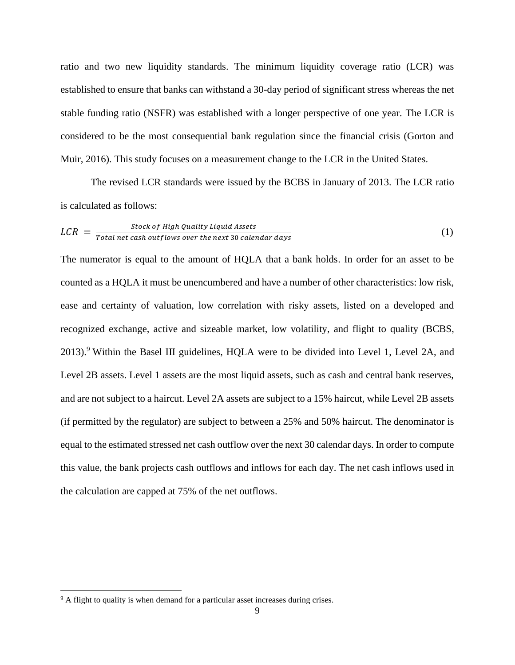ratio and two new liquidity standards. The minimum liquidity coverage ratio (LCR) was established to ensure that banks can withstand a 30-day period of significant stress whereas the net stable funding ratio (NSFR) was established with a longer perspective of one year. The LCR is considered to be the most consequential bank regulation since the financial crisis (Gorton and Muir, 2016). This study focuses on a measurement change to the LCR in the United States.

The revised LCR standards were issued by the BCBS in January of 2013. The LCR ratio is calculated as follows:

$$
LCR = \frac{Stock\ of\ High\ Quality\ Liquid\ Assets}{Total\ net\ cash\ outflows\ over\ the\ next\ 30\ calendar\ days}
$$
 (1)

The numerator is equal to the amount of HQLA that a bank holds. In order for an asset to be counted as a HQLA it must be unencumbered and have a number of other characteristics: low risk, ease and certainty of valuation, low correlation with risky assets, listed on a developed and recognized exchange, active and sizeable market, low volatility, and flight to quality (BCBS,  $2013$ .<sup>9</sup> Within the Basel III guidelines, HQLA were to be divided into Level 1, Level 2A, and Level 2B assets. Level 1 assets are the most liquid assets, such as cash and central bank reserves, and are not subject to a haircut. Level 2A assets are subject to a 15% haircut, while Level 2B assets (if permitted by the regulator) are subject to between a 25% and 50% haircut. The denominator is equal to the estimated stressed net cash outflow over the next 30 calendar days. In order to compute this value, the bank projects cash outflows and inflows for each day. The net cash inflows used in the calculation are capped at 75% of the net outflows.

<sup>&</sup>lt;sup>9</sup> A flight to quality is when demand for a particular asset increases during crises.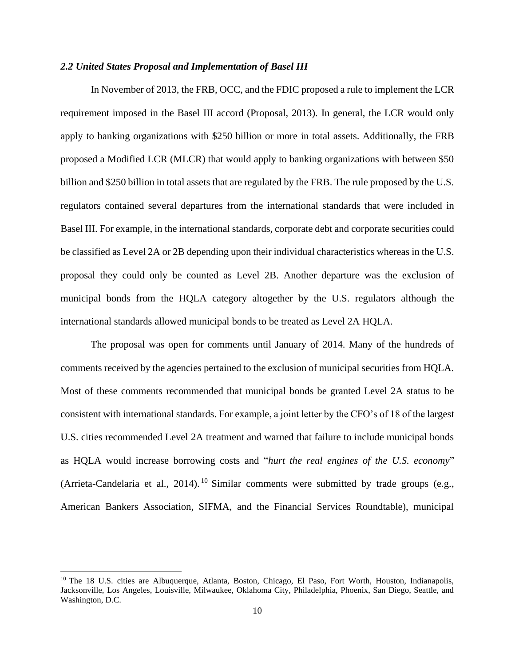### *2.2 United States Proposal and Implementation of Basel III*

In November of 2013, the FRB, OCC, and the FDIC proposed a rule to implement the LCR requirement imposed in the Basel III accord (Proposal, 2013). In general, the LCR would only apply to banking organizations with \$250 billion or more in total assets. Additionally, the FRB proposed a Modified LCR (MLCR) that would apply to banking organizations with between \$50 billion and \$250 billion in total assets that are regulated by the FRB. The rule proposed by the U.S. regulators contained several departures from the international standards that were included in Basel III. For example, in the international standards, corporate debt and corporate securities could be classified as Level 2A or 2B depending upon their individual characteristics whereas in the U.S. proposal they could only be counted as Level 2B. Another departure was the exclusion of municipal bonds from the HQLA category altogether by the U.S. regulators although the international standards allowed municipal bonds to be treated as Level 2A HQLA.

The proposal was open for comments until January of 2014. Many of the hundreds of comments received by the agencies pertained to the exclusion of municipal securities from HQLA. Most of these comments recommended that municipal bonds be granted Level 2A status to be consistent with international standards. For example, a joint letter by the CFO's of 18 of the largest U.S. cities recommended Level 2A treatment and warned that failure to include municipal bonds as HQLA would increase borrowing costs and "*hurt the real engines of the U.S. economy*" (Arrieta-Candelaria et al., 2014).<sup>10</sup> Similar comments were submitted by trade groups (e.g., American Bankers Association, SIFMA, and the Financial Services Roundtable), municipal

<sup>&</sup>lt;sup>10</sup> The 18 U.S. cities are Albuquerque, Atlanta, Boston, Chicago, El Paso, Fort Worth, Houston, Indianapolis, Jacksonville, Los Angeles, Louisville, Milwaukee, Oklahoma City, Philadelphia, Phoenix, San Diego, Seattle, and Washington, D.C.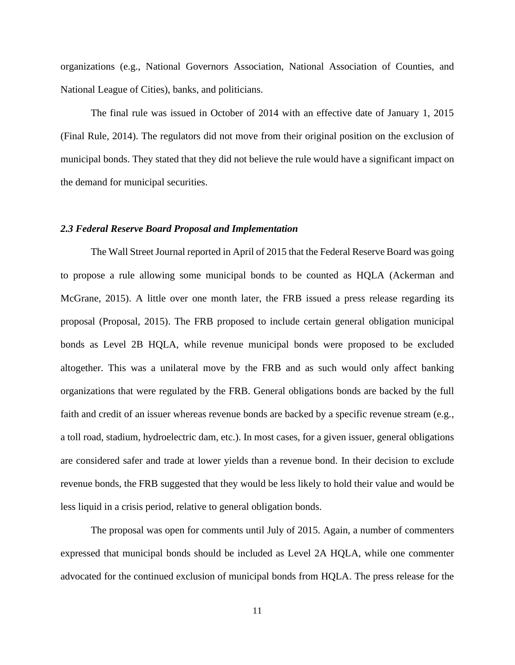organizations (e.g., National Governors Association, National Association of Counties, and National League of Cities), banks, and politicians.

The final rule was issued in October of 2014 with an effective date of January 1, 2015 (Final Rule, 2014). The regulators did not move from their original position on the exclusion of municipal bonds. They stated that they did not believe the rule would have a significant impact on the demand for municipal securities.

## *2.3 Federal Reserve Board Proposal and Implementation*

The Wall Street Journal reported in April of 2015 that the Federal Reserve Board was going to propose a rule allowing some municipal bonds to be counted as HQLA (Ackerman and McGrane, 2015). A little over one month later, the FRB issued a press release regarding its proposal (Proposal, 2015). The FRB proposed to include certain general obligation municipal bonds as Level 2B HQLA, while revenue municipal bonds were proposed to be excluded altogether. This was a unilateral move by the FRB and as such would only affect banking organizations that were regulated by the FRB. General obligations bonds are backed by the full faith and credit of an issuer whereas revenue bonds are backed by a specific revenue stream (e.g., a toll road, stadium, hydroelectric dam, etc.). In most cases, for a given issuer, general obligations are considered safer and trade at lower yields than a revenue bond. In their decision to exclude revenue bonds, the FRB suggested that they would be less likely to hold their value and would be less liquid in a crisis period, relative to general obligation bonds.

The proposal was open for comments until July of 2015. Again, a number of commenters expressed that municipal bonds should be included as Level 2A HQLA, while one commenter advocated for the continued exclusion of municipal bonds from HQLA. The press release for the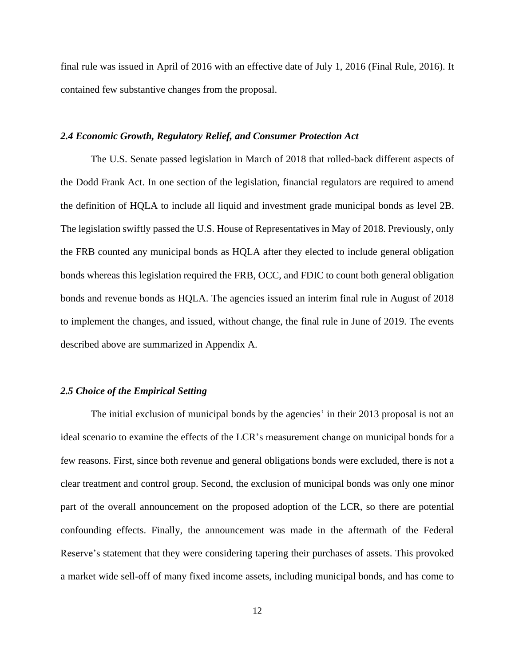final rule was issued in April of 2016 with an effective date of July 1, 2016 (Final Rule, 2016). It contained few substantive changes from the proposal.

### *2.4 Economic Growth, Regulatory Relief, and Consumer Protection Act*

The U.S. Senate passed legislation in March of 2018 that rolled-back different aspects of the Dodd Frank Act. In one section of the legislation, financial regulators are required to amend the definition of HQLA to include all liquid and investment grade municipal bonds as level 2B. The legislation swiftly passed the U.S. House of Representatives in May of 2018. Previously, only the FRB counted any municipal bonds as HQLA after they elected to include general obligation bonds whereas this legislation required the FRB, OCC, and FDIC to count both general obligation bonds and revenue bonds as HQLA. The agencies issued an interim final rule in August of 2018 to implement the changes, and issued, without change, the final rule in June of 2019. The events described above are summarized in Appendix A.

# *2.5 Choice of the Empirical Setting*

The initial exclusion of municipal bonds by the agencies' in their 2013 proposal is not an ideal scenario to examine the effects of the LCR's measurement change on municipal bonds for a few reasons. First, since both revenue and general obligations bonds were excluded, there is not a clear treatment and control group. Second, the exclusion of municipal bonds was only one minor part of the overall announcement on the proposed adoption of the LCR, so there are potential confounding effects. Finally, the announcement was made in the aftermath of the Federal Reserve's statement that they were considering tapering their purchases of assets. This provoked a market wide sell-off of many fixed income assets, including municipal bonds, and has come to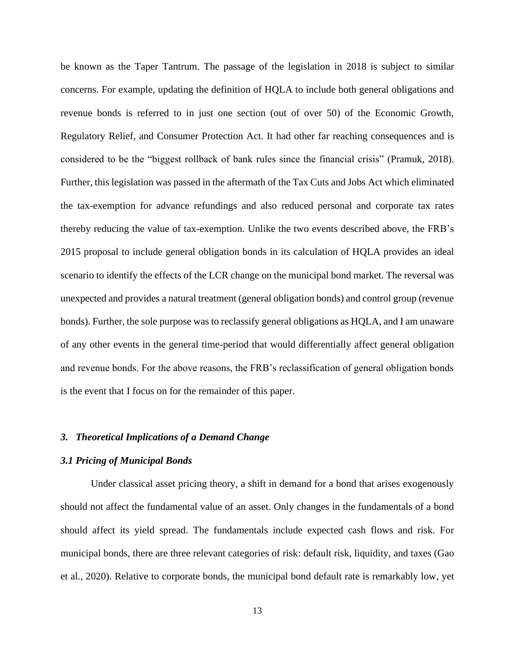be known as the Taper Tantrum. The passage of the legislation in 2018 is subject to similar concerns. For example, updating the definition of HQLA to include both general obligations and revenue bonds is referred to in just one section (out of over 50) of the Economic Growth, Regulatory Relief, and Consumer Protection Act. It had other far reaching consequences and is considered to be the "biggest rollback of bank rules since the financial crisis" (Pramuk, 2018). Further, this legislation was passed in the aftermath of the Tax Cuts and Jobs Act which eliminated the tax-exemption for advance refundings and also reduced personal and corporate tax rates thereby reducing the value of tax-exemption. Unlike the two events described above, the FRB's 2015 proposal to include general obligation bonds in its calculation of HQLA provides an ideal scenario to identify the effects of the LCR change on the municipal bond market. The reversal was unexpected and provides a natural treatment (general obligation bonds) and control group (revenue bonds). Further, the sole purpose was to reclassify general obligations as HQLA, and I am unaware of any other events in the general time-period that would differentially affect general obligation and revenue bonds. For the above reasons, the FRB's reclassification of general obligation bonds is the event that I focus on for the remainder of this paper.

# *3. Theoretical Implications of a Demand Change*

## *3.1 Pricing of Municipal Bonds*

Under classical asset pricing theory, a shift in demand for a bond that arises exogenously should not affect the fundamental value of an asset. Only changes in the fundamentals of a bond should affect its yield spread. The fundamentals include expected cash flows and risk. For municipal bonds, there are three relevant categories of risk: default risk, liquidity, and taxes (Gao et al., 2020). Relative to corporate bonds, the municipal bond default rate is remarkably low, yet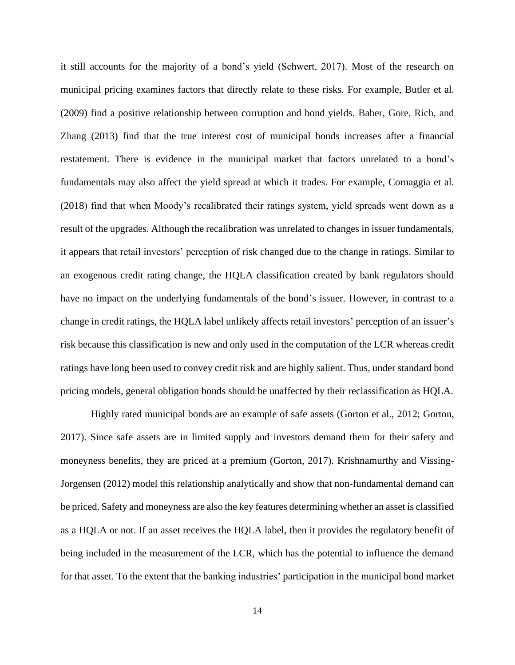it still accounts for the majority of a bond's yield (Schwert, 2017). Most of the research on municipal pricing examines factors that directly relate to these risks. For example, Butler et al. (2009) find a positive relationship between corruption and bond yields. Baber, Gore, Rich, and Zhang (2013) find that the true interest cost of municipal bonds increases after a financial restatement. There is evidence in the municipal market that factors unrelated to a bond's fundamentals may also affect the yield spread at which it trades. For example, Cornaggia et al. (2018) find that when Moody's recalibrated their ratings system, yield spreads went down as a result of the upgrades. Although the recalibration was unrelated to changes in issuer fundamentals, it appears that retail investors' perception of risk changed due to the change in ratings. Similar to an exogenous credit rating change, the HQLA classification created by bank regulators should have no impact on the underlying fundamentals of the bond's issuer. However, in contrast to a change in credit ratings, the HQLA label unlikely affects retail investors' perception of an issuer's risk because this classification is new and only used in the computation of the LCR whereas credit ratings have long been used to convey credit risk and are highly salient. Thus, under standard bond pricing models, general obligation bonds should be unaffected by their reclassification as HQLA.

Highly rated municipal bonds are an example of safe assets (Gorton et al., 2012; Gorton, 2017). Since safe assets are in limited supply and investors demand them for their safety and moneyness benefits, they are priced at a premium (Gorton, 2017). Krishnamurthy and Vissing-Jorgensen (2012) model this relationship analytically and show that non-fundamental demand can be priced. Safety and moneyness are also the key features determining whether an asset is classified as a HQLA or not. If an asset receives the HQLA label, then it provides the regulatory benefit of being included in the measurement of the LCR, which has the potential to influence the demand for that asset. To the extent that the banking industries' participation in the municipal bond market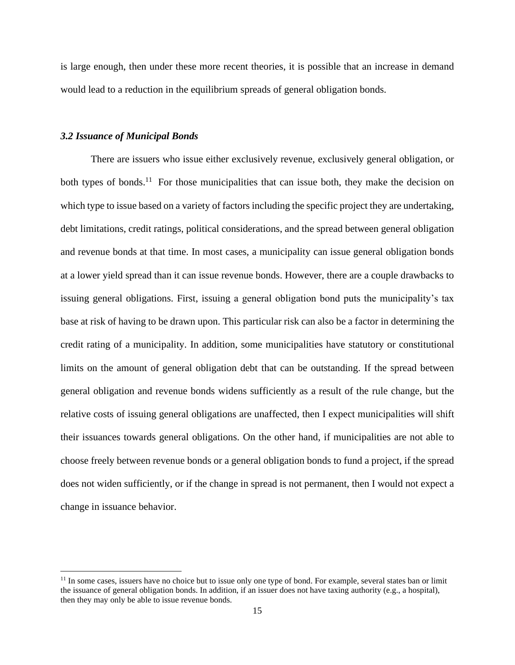is large enough, then under these more recent theories, it is possible that an increase in demand would lead to a reduction in the equilibrium spreads of general obligation bonds.

### *3.2 Issuance of Municipal Bonds*

There are issuers who issue either exclusively revenue, exclusively general obligation, or both types of bonds.<sup>11</sup> For those municipalities that can issue both, they make the decision on which type to issue based on a variety of factors including the specific project they are undertaking, debt limitations, credit ratings, political considerations, and the spread between general obligation and revenue bonds at that time. In most cases, a municipality can issue general obligation bonds at a lower yield spread than it can issue revenue bonds. However, there are a couple drawbacks to issuing general obligations. First, issuing a general obligation bond puts the municipality's tax base at risk of having to be drawn upon. This particular risk can also be a factor in determining the credit rating of a municipality. In addition, some municipalities have statutory or constitutional limits on the amount of general obligation debt that can be outstanding. If the spread between general obligation and revenue bonds widens sufficiently as a result of the rule change, but the relative costs of issuing general obligations are unaffected, then I expect municipalities will shift their issuances towards general obligations. On the other hand, if municipalities are not able to choose freely between revenue bonds or a general obligation bonds to fund a project, if the spread does not widen sufficiently, or if the change in spread is not permanent, then I would not expect a change in issuance behavior.

 $11$  In some cases, issuers have no choice but to issue only one type of bond. For example, several states ban or limit the issuance of general obligation bonds. In addition, if an issuer does not have taxing authority (e.g., a hospital), then they may only be able to issue revenue bonds.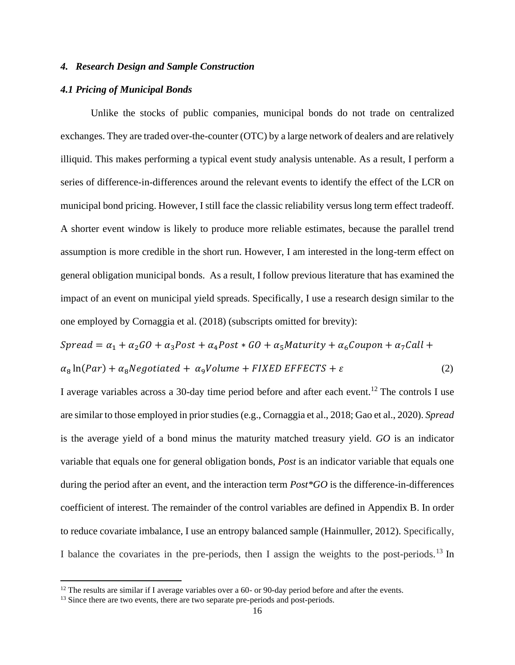# *4. Research Design and Sample Construction*

#### *4.1 Pricing of Municipal Bonds*

Unlike the stocks of public companies, municipal bonds do not trade on centralized exchanges. They are traded over-the-counter (OTC) by a large network of dealers and are relatively illiquid. This makes performing a typical event study analysis untenable. As a result, I perform a series of difference-in-differences around the relevant events to identify the effect of the LCR on municipal bond pricing. However, I still face the classic reliability versus long term effect tradeoff. A shorter event window is likely to produce more reliable estimates, because the parallel trend assumption is more credible in the short run. However, I am interested in the long-term effect on general obligation municipal bonds. As a result, I follow previous literature that has examined the impact of an event on municipal yield spreads. Specifically, I use a research design similar to the one employed by Cornaggia et al. (2018) (subscripts omitted for brevity):

$$
Spread = \alpha_1 + \alpha_2 GO + \alpha_3 Post + \alpha_4 Post * GO + \alpha_5 Maturity + \alpha_6 Coupon + \alpha_7 Call +
$$
  

$$
\alpha_8 \ln(Par) + \alpha_8 Negotiated + \alpha_9 Volume + FIXED EFFECTS + \varepsilon
$$
 (2)

I average variables across a 30-day time period before and after each event.<sup>12</sup> The controls I use are similar to those employed in prior studies (e.g., Cornaggia et al., 2018; Gao et al., 2020). *Spread* is the average yield of a bond minus the maturity matched treasury yield. *GO* is an indicator variable that equals one for general obligation bonds, *Post* is an indicator variable that equals one during the period after an event, and the interaction term *Post\*GO* is the difference-in-differences coefficient of interest. The remainder of the control variables are defined in Appendix B. In order to reduce covariate imbalance, I use an entropy balanced sample (Hainmuller, 2012). Specifically, I balance the covariates in the pre-periods, then I assign the weights to the post-periods.<sup>13</sup> In

 $12$  The results are similar if I average variables over a 60- or 90-day period before and after the events.

<sup>&</sup>lt;sup>13</sup> Since there are two events, there are two separate pre-periods and post-periods.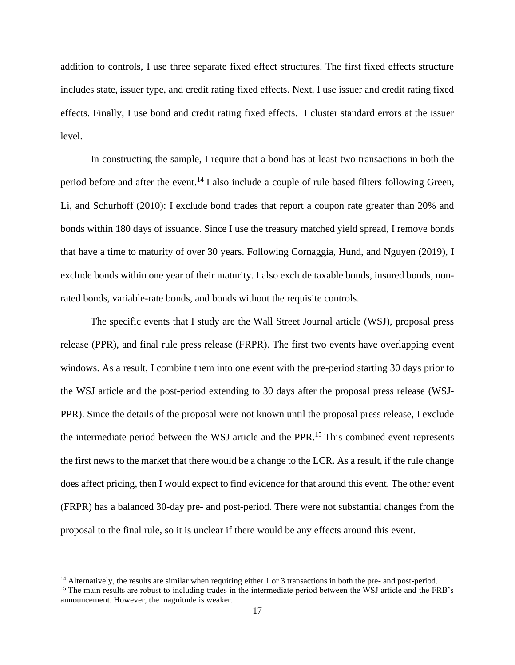addition to controls, I use three separate fixed effect structures. The first fixed effects structure includes state, issuer type, and credit rating fixed effects. Next, I use issuer and credit rating fixed effects. Finally, I use bond and credit rating fixed effects. I cluster standard errors at the issuer level.

In constructing the sample, I require that a bond has at least two transactions in both the period before and after the event.<sup>14</sup> I also include a couple of rule based filters following Green, Li, and Schurhoff (2010): I exclude bond trades that report a coupon rate greater than 20% and bonds within 180 days of issuance. Since I use the treasury matched yield spread, I remove bonds that have a time to maturity of over 30 years. Following Cornaggia, Hund, and Nguyen (2019), I exclude bonds within one year of their maturity. I also exclude taxable bonds, insured bonds, nonrated bonds, variable-rate bonds, and bonds without the requisite controls.

The specific events that I study are the Wall Street Journal article (WSJ), proposal press release (PPR), and final rule press release (FRPR). The first two events have overlapping event windows. As a result, I combine them into one event with the pre-period starting 30 days prior to the WSJ article and the post-period extending to 30 days after the proposal press release (WSJ-PPR). Since the details of the proposal were not known until the proposal press release, I exclude the intermediate period between the WSJ article and the PPR.<sup>15</sup> This combined event represents the first news to the market that there would be a change to the LCR. As a result, if the rule change does affect pricing, then I would expect to find evidence for that around this event. The other event (FRPR) has a balanced 30-day pre- and post-period. There were not substantial changes from the proposal to the final rule, so it is unclear if there would be any effects around this event.

<sup>&</sup>lt;sup>14</sup> Alternatively, the results are similar when requiring either 1 or 3 transactions in both the pre- and post-period.

<sup>&</sup>lt;sup>15</sup> The main results are robust to including trades in the intermediate period between the WSJ article and the FRB's announcement. However, the magnitude is weaker.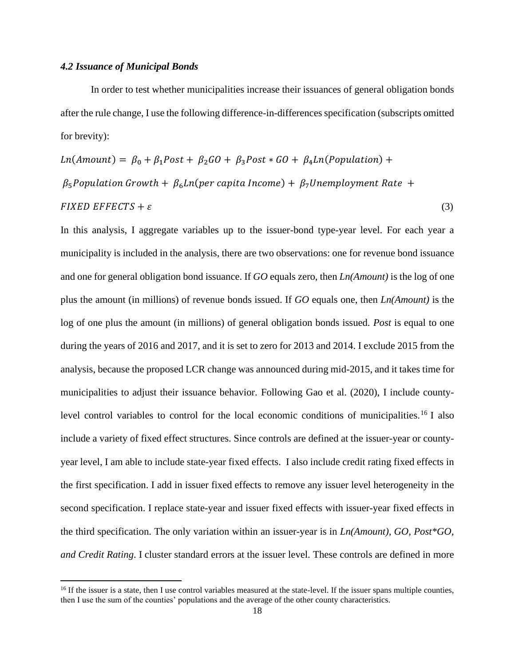#### *4.2 Issuance of Municipal Bonds*

In order to test whether municipalities increase their issuances of general obligation bonds after the rule change, I use the following difference-in-differences specification (subscripts omitted for brevity):

$$
Ln(Amount) = \beta_0 + \beta_1 Post + \beta_2 GO + \beta_3 Post * GO + \beta_4 Ln(Population) +
$$
  

$$
\beta_5 Population Growth + \beta_6 Ln(per capita Income) + \beta_7 Unemployment Rate +
$$
  
*FIXED EFFECTS +*  $\varepsilon$  (3)

In this analysis, I aggregate variables up to the issuer-bond type-year level. For each year a municipality is included in the analysis, there are two observations: one for revenue bond issuance and one for general obligation bond issuance. If *GO* equals zero, then *Ln(Amount)* is the log of one plus the amount (in millions) of revenue bonds issued. If *GO* equals one, then *Ln(Amount)* is the log of one plus the amount (in millions) of general obligation bonds issued. *Post* is equal to one during the years of 2016 and 2017, and it is set to zero for 2013 and 2014. I exclude 2015 from the analysis, because the proposed LCR change was announced during mid-2015, and it takes time for municipalities to adjust their issuance behavior. Following Gao et al. (2020), I include countylevel control variables to control for the local economic conditions of municipalities.<sup>16</sup> I also include a variety of fixed effect structures. Since controls are defined at the issuer-year or countyyear level, I am able to include state-year fixed effects. I also include credit rating fixed effects in the first specification. I add in issuer fixed effects to remove any issuer level heterogeneity in the second specification. I replace state-year and issuer fixed effects with issuer-year fixed effects in the third specification. The only variation within an issuer-year is in *Ln(Amount), GO, Post\*GO, and Credit Rating*. I cluster standard errors at the issuer level. These controls are defined in more

<sup>&</sup>lt;sup>16</sup> If the issuer is a state, then I use control variables measured at the state-level. If the issuer spans multiple counties, then I use the sum of the counties' populations and the average of the other county characteristics.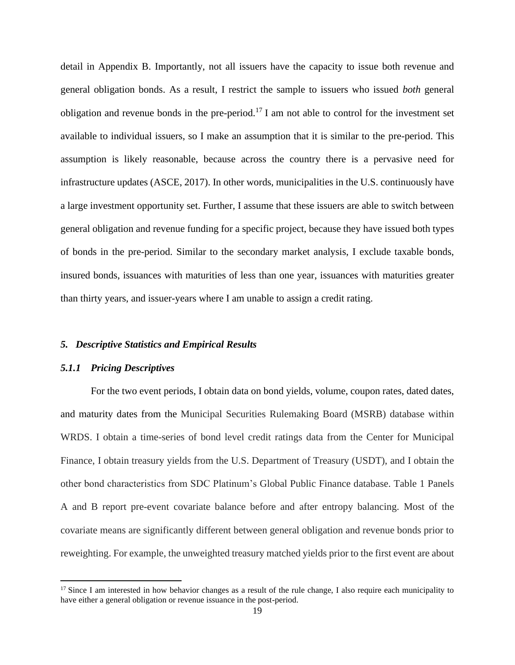detail in Appendix B. Importantly, not all issuers have the capacity to issue both revenue and general obligation bonds. As a result, I restrict the sample to issuers who issued *both* general obligation and revenue bonds in the pre-period.<sup>17</sup> I am not able to control for the investment set available to individual issuers, so I make an assumption that it is similar to the pre-period. This assumption is likely reasonable, because across the country there is a pervasive need for infrastructure updates (ASCE, 2017). In other words, municipalities in the U.S. continuously have a large investment opportunity set. Further, I assume that these issuers are able to switch between general obligation and revenue funding for a specific project, because they have issued both types of bonds in the pre-period. Similar to the secondary market analysis, I exclude taxable bonds, insured bonds, issuances with maturities of less than one year, issuances with maturities greater than thirty years, and issuer-years where I am unable to assign a credit rating.

### *5. Descriptive Statistics and Empirical Results*

#### *5.1.1 Pricing Descriptives*

For the two event periods, I obtain data on bond yields, volume, coupon rates, dated dates, and maturity dates from the Municipal Securities Rulemaking Board (MSRB) database within WRDS. I obtain a time-series of bond level credit ratings data from the Center for Municipal Finance, I obtain treasury yields from the U.S. Department of Treasury (USDT), and I obtain the other bond characteristics from SDC Platinum's Global Public Finance database. Table 1 Panels A and B report pre-event covariate balance before and after entropy balancing. Most of the covariate means are significantly different between general obligation and revenue bonds prior to reweighting. For example, the unweighted treasury matched yields prior to the first event are about

 $17$  Since I am interested in how behavior changes as a result of the rule change, I also require each municipality to have either a general obligation or revenue issuance in the post-period.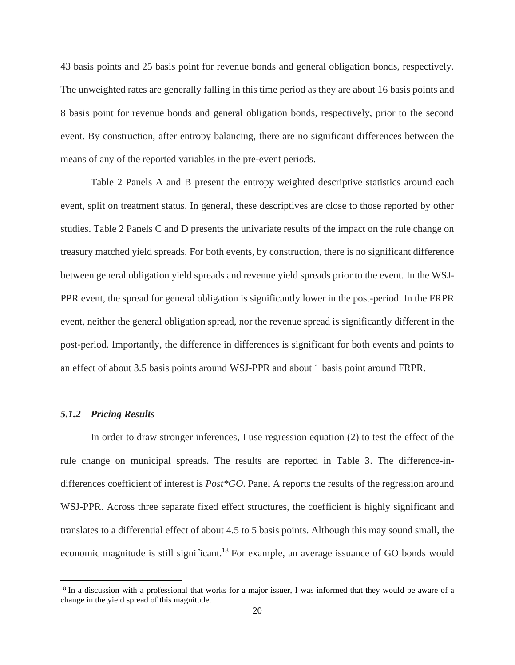43 basis points and 25 basis point for revenue bonds and general obligation bonds, respectively. The unweighted rates are generally falling in this time period as they are about 16 basis points and 8 basis point for revenue bonds and general obligation bonds, respectively, prior to the second event. By construction, after entropy balancing, there are no significant differences between the means of any of the reported variables in the pre-event periods.

Table 2 Panels A and B present the entropy weighted descriptive statistics around each event, split on treatment status. In general, these descriptives are close to those reported by other studies. Table 2 Panels C and D presents the univariate results of the impact on the rule change on treasury matched yield spreads. For both events, by construction, there is no significant difference between general obligation yield spreads and revenue yield spreads prior to the event. In the WSJ-PPR event, the spread for general obligation is significantly lower in the post-period. In the FRPR event, neither the general obligation spread, nor the revenue spread is significantly different in the post-period. Importantly, the difference in differences is significant for both events and points to an effect of about 3.5 basis points around WSJ-PPR and about 1 basis point around FRPR.

#### *5.1.2 Pricing Results*

In order to draw stronger inferences, I use regression equation (2) to test the effect of the rule change on municipal spreads. The results are reported in Table 3. The difference-indifferences coefficient of interest is *Post\*GO*. Panel A reports the results of the regression around WSJ-PPR. Across three separate fixed effect structures, the coefficient is highly significant and translates to a differential effect of about 4.5 to 5 basis points. Although this may sound small, the economic magnitude is still significant.<sup>18</sup> For example, an average issuance of GO bonds would

<sup>&</sup>lt;sup>18</sup> In a discussion with a professional that works for a major issuer, I was informed that they would be aware of a change in the yield spread of this magnitude.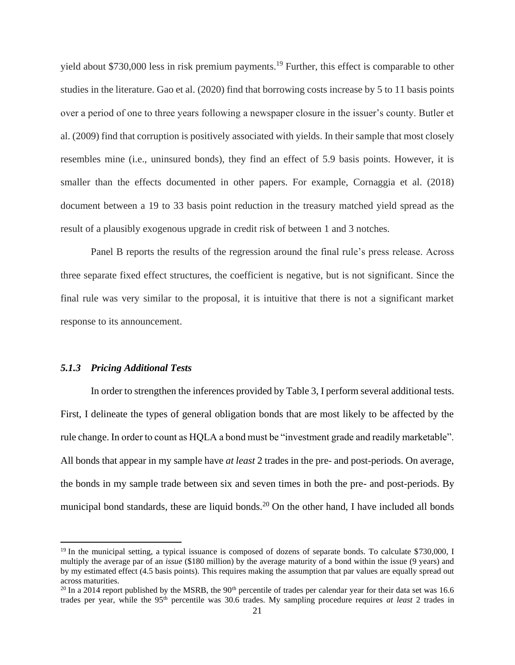yield about \$730,000 less in risk premium payments.<sup>19</sup> Further, this effect is comparable to other studies in the literature. Gao et al. (2020) find that borrowing costs increase by 5 to 11 basis points over a period of one to three years following a newspaper closure in the issuer's county. Butler et al. (2009) find that corruption is positively associated with yields. In their sample that most closely resembles mine (i.e., uninsured bonds), they find an effect of 5.9 basis points. However, it is smaller than the effects documented in other papers. For example, Cornaggia et al. (2018) document between a 19 to 33 basis point reduction in the treasury matched yield spread as the result of a plausibly exogenous upgrade in credit risk of between 1 and 3 notches.

Panel B reports the results of the regression around the final rule's press release. Across three separate fixed effect structures, the coefficient is negative, but is not significant. Since the final rule was very similar to the proposal, it is intuitive that there is not a significant market response to its announcement.

#### *5.1.3 Pricing Additional Tests*

In order to strengthen the inferences provided by Table 3, I perform several additional tests. First, I delineate the types of general obligation bonds that are most likely to be affected by the rule change. In order to count as HQLA a bond must be "investment grade and readily marketable". All bonds that appear in my sample have *at least* 2 trades in the pre- and post-periods. On average, the bonds in my sample trade between six and seven times in both the pre- and post-periods. By municipal bond standards, these are liquid bonds.<sup>20</sup> On the other hand, I have included all bonds

<sup>&</sup>lt;sup>19</sup> In the municipal setting, a typical issuance is composed of dozens of separate bonds. To calculate \$730,000, I multiply the average par of an *issue* (\$180 million) by the average maturity of a bond within the issue (9 years) and by my estimated effect (4.5 basis points). This requires making the assumption that par values are equally spread out across maturities.

 $20$  In a 2014 report published by the MSRB, the  $90<sup>th</sup>$  percentile of trades per calendar year for their data set was 16.6 trades per year, while the 95th percentile was 30.6 trades. My sampling procedure requires *at least* 2 trades in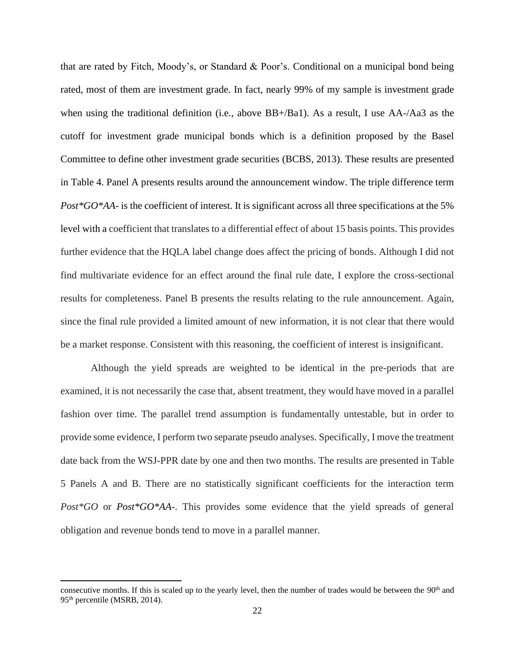that are rated by Fitch, Moody's, or Standard & Poor's. Conditional on a municipal bond being rated, most of them are investment grade. In fact, nearly 99% of my sample is investment grade when using the traditional definition (i.e., above BB+/Ba1). As a result, I use AA-/Aa3 as the cutoff for investment grade municipal bonds which is a definition proposed by the Basel Committee to define other investment grade securities (BCBS, 2013). These results are presented in Table 4. Panel A presents results around the announcement window. The triple difference term *Post\*GO\*AA-* is the coefficient of interest. It is significant across all three specifications at the 5% level with a coefficient that translates to a differential effect of about 15 basis points. This provides further evidence that the HQLA label change does affect the pricing of bonds. Although I did not find multivariate evidence for an effect around the final rule date, I explore the cross-sectional results for completeness. Panel B presents the results relating to the rule announcement. Again, since the final rule provided a limited amount of new information, it is not clear that there would be a market response. Consistent with this reasoning, the coefficient of interest is insignificant.

Although the yield spreads are weighted to be identical in the pre-periods that are examined, it is not necessarily the case that, absent treatment, they would have moved in a parallel fashion over time. The parallel trend assumption is fundamentally untestable, but in order to provide some evidence, I perform two separate pseudo analyses. Specifically, I move the treatment date back from the WSJ-PPR date by one and then two months. The results are presented in Table 5 Panels A and B. There are no statistically significant coefficients for the interaction term *Post\*GO* or *Post\*GO\*AA-*. This provides some evidence that the yield spreads of general obligation and revenue bonds tend to move in a parallel manner.

consecutive months. If this is scaled up to the yearly level, then the number of trades would be between the 90<sup>th</sup> and 95th percentile (MSRB, 2014).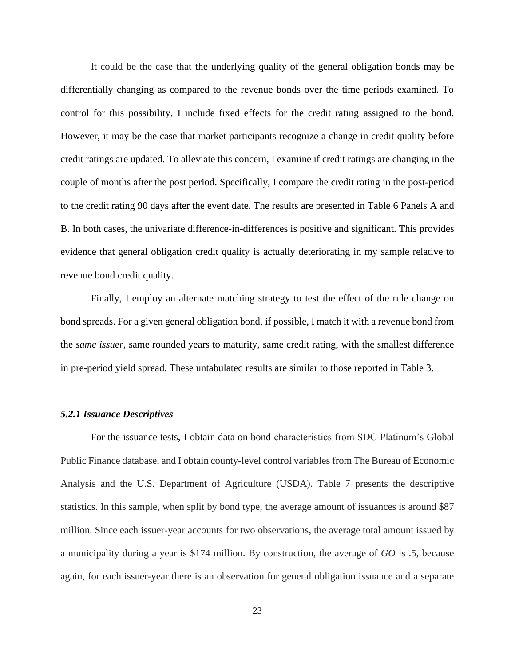It could be the case that the underlying quality of the general obligation bonds may be differentially changing as compared to the revenue bonds over the time periods examined. To control for this possibility, I include fixed effects for the credit rating assigned to the bond. However, it may be the case that market participants recognize a change in credit quality before credit ratings are updated. To alleviate this concern, I examine if credit ratings are changing in the couple of months after the post period. Specifically, I compare the credit rating in the post-period to the credit rating 90 days after the event date. The results are presented in Table 6 Panels A and B. In both cases, the univariate difference-in-differences is positive and significant. This provides evidence that general obligation credit quality is actually deteriorating in my sample relative to revenue bond credit quality.

Finally, I employ an alternate matching strategy to test the effect of the rule change on bond spreads. For a given general obligation bond, if possible, I match it with a revenue bond from the *same issuer*, same rounded years to maturity, same credit rating, with the smallest difference in pre-period yield spread. These untabulated results are similar to those reported in Table 3.

#### *5.2.1 Issuance Descriptives*

For the issuance tests, I obtain data on bond characteristics from SDC Platinum's Global Public Finance database, and I obtain county-level control variables from The Bureau of Economic Analysis and the U.S. Department of Agriculture (USDA). Table 7 presents the descriptive statistics. In this sample, when split by bond type, the average amount of issuances is around \$87 million. Since each issuer-year accounts for two observations, the average total amount issued by a municipality during a year is \$174 million. By construction, the average of *GO* is .5, because again, for each issuer-year there is an observation for general obligation issuance and a separate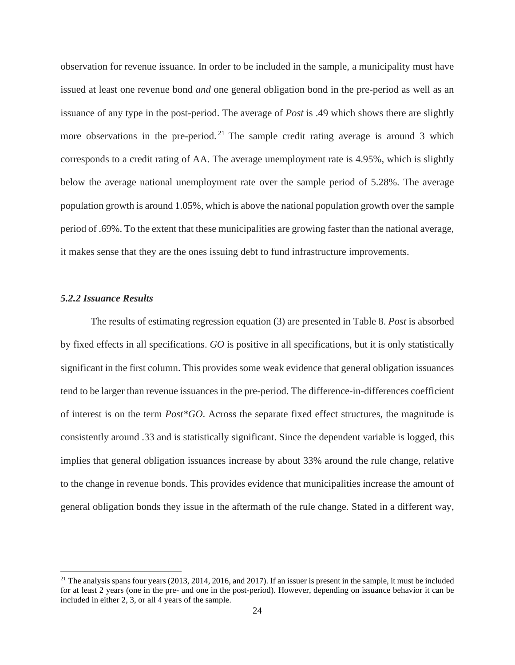observation for revenue issuance. In order to be included in the sample, a municipality must have issued at least one revenue bond *and* one general obligation bond in the pre-period as well as an issuance of any type in the post-period. The average of *Post* is .49 which shows there are slightly more observations in the pre-period.<sup>21</sup> The sample credit rating average is around 3 which corresponds to a credit rating of AA. The average unemployment rate is 4.95%, which is slightly below the average national unemployment rate over the sample period of 5.28%. The average population growth is around 1.05%, which is above the national population growth over the sample period of .69%. To the extent that these municipalities are growing faster than the national average, it makes sense that they are the ones issuing debt to fund infrastructure improvements.

# *5.2.2 Issuance Results*

The results of estimating regression equation (3) are presented in Table 8. *Post* is absorbed by fixed effects in all specifications. *GO* is positive in all specifications, but it is only statistically significant in the first column. This provides some weak evidence that general obligation issuances tend to be larger than revenue issuances in the pre-period. The difference-in-differences coefficient of interest is on the term *Post\*GO*. Across the separate fixed effect structures, the magnitude is consistently around .33 and is statistically significant. Since the dependent variable is logged, this implies that general obligation issuances increase by about 33% around the rule change, relative to the change in revenue bonds. This provides evidence that municipalities increase the amount of general obligation bonds they issue in the aftermath of the rule change. Stated in a different way,

 $21$  The analysis spans four years (2013, 2014, 2016, and 2017). If an issuer is present in the sample, it must be included for at least 2 years (one in the pre- and one in the post-period). However, depending on issuance behavior it can be included in either 2, 3, or all 4 years of the sample.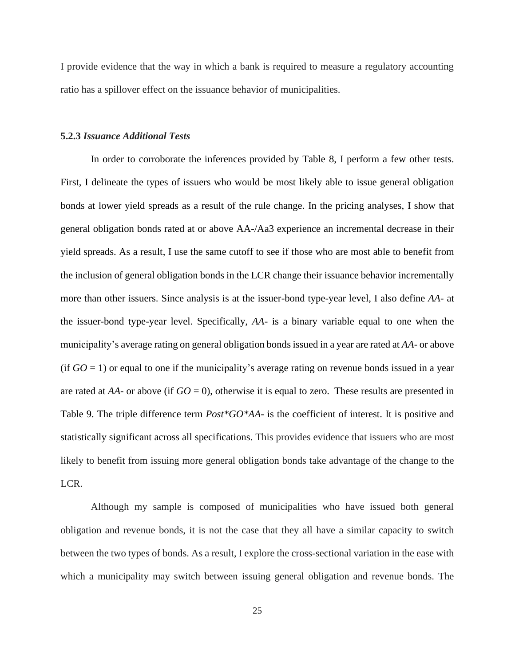I provide evidence that the way in which a bank is required to measure a regulatory accounting ratio has a spillover effect on the issuance behavior of municipalities.

#### **5.2.3** *Issuance Additional Tests*

In order to corroborate the inferences provided by Table 8, I perform a few other tests. First, I delineate the types of issuers who would be most likely able to issue general obligation bonds at lower yield spreads as a result of the rule change. In the pricing analyses, I show that general obligation bonds rated at or above AA-/Aa3 experience an incremental decrease in their yield spreads. As a result, I use the same cutoff to see if those who are most able to benefit from the inclusion of general obligation bonds in the LCR change their issuance behavior incrementally more than other issuers. Since analysis is at the issuer-bond type-year level, I also define *AA-* at the issuer-bond type-year level. Specifically, *AA-* is a binary variable equal to one when the municipality's average rating on general obligation bonds issued in a year are rated at *AA-* or above (if  $GO = 1$ ) or equal to one if the municipality's average rating on revenue bonds issued in a year are rated at  $AA$ - or above (if  $GO = 0$ ), otherwise it is equal to zero. These results are presented in Table 9. The triple difference term *Post\*GO\*AA-* is the coefficient of interest. It is positive and statistically significant across all specifications. This provides evidence that issuers who are most likely to benefit from issuing more general obligation bonds take advantage of the change to the LCR.

Although my sample is composed of municipalities who have issued both general obligation and revenue bonds, it is not the case that they all have a similar capacity to switch between the two types of bonds. As a result, I explore the cross-sectional variation in the ease with which a municipality may switch between issuing general obligation and revenue bonds. The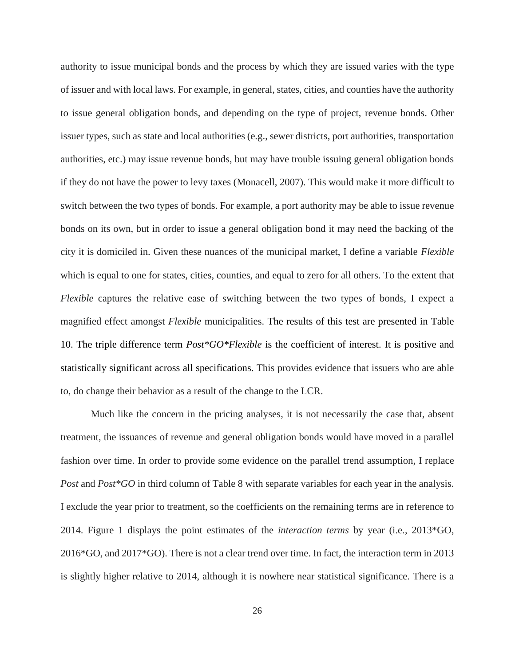authority to issue municipal bonds and the process by which they are issued varies with the type of issuer and with local laws. For example, in general, states, cities, and counties have the authority to issue general obligation bonds, and depending on the type of project, revenue bonds. Other issuer types, such as state and local authorities (e.g., sewer districts, port authorities, transportation authorities, etc.) may issue revenue bonds, but may have trouble issuing general obligation bonds if they do not have the power to levy taxes (Monacell, 2007). This would make it more difficult to switch between the two types of bonds. For example, a port authority may be able to issue revenue bonds on its own, but in order to issue a general obligation bond it may need the backing of the city it is domiciled in. Given these nuances of the municipal market, I define a variable *Flexible* which is equal to one for states, cities, counties, and equal to zero for all others. To the extent that *Flexible* captures the relative ease of switching between the two types of bonds, I expect a magnified effect amongst *Flexible* municipalities. The results of this test are presented in Table 10. The triple difference term *Post\*GO\*Flexible* is the coefficient of interest. It is positive and statistically significant across all specifications. This provides evidence that issuers who are able to, do change their behavior as a result of the change to the LCR.

Much like the concern in the pricing analyses, it is not necessarily the case that, absent treatment, the issuances of revenue and general obligation bonds would have moved in a parallel fashion over time. In order to provide some evidence on the parallel trend assumption, I replace *Post* and *Post*\**GO* in third column of Table 8 with separate variables for each year in the analysis. I exclude the year prior to treatment, so the coefficients on the remaining terms are in reference to 2014. Figure 1 displays the point estimates of the *interaction terms* by year (i.e., 2013\*GO, 2016\*GO, and 2017\*GO). There is not a clear trend over time. In fact, the interaction term in 2013 is slightly higher relative to 2014, although it is nowhere near statistical significance. There is a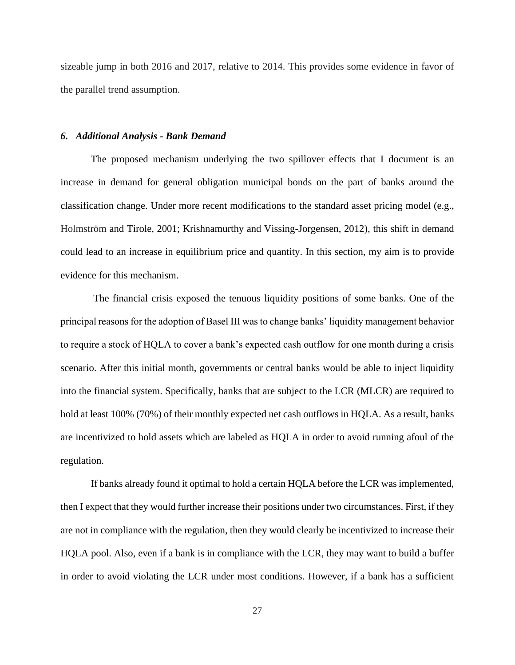sizeable jump in both 2016 and 2017, relative to 2014. This provides some evidence in favor of the parallel trend assumption.

#### *6. Additional Analysis - Bank Demand*

The proposed mechanism underlying the two spillover effects that I document is an increase in demand for general obligation municipal bonds on the part of banks around the classification change. Under more recent modifications to the standard asset pricing model (e.g., Holmström and Tirole, 2001; Krishnamurthy and Vissing-Jorgensen, 2012), this shift in demand could lead to an increase in equilibrium price and quantity. In this section, my aim is to provide evidence for this mechanism.

The financial crisis exposed the tenuous liquidity positions of some banks. One of the principal reasons for the adoption of Basel III was to change banks' liquidity management behavior to require a stock of HQLA to cover a bank's expected cash outflow for one month during a crisis scenario. After this initial month, governments or central banks would be able to inject liquidity into the financial system. Specifically, banks that are subject to the LCR (MLCR) are required to hold at least 100% (70%) of their monthly expected net cash outflows in HQLA. As a result, banks are incentivized to hold assets which are labeled as HQLA in order to avoid running afoul of the regulation.

If banks already found it optimal to hold a certain HQLA before the LCR was implemented, then I expect that they would further increase their positions under two circumstances. First, if they are not in compliance with the regulation, then they would clearly be incentivized to increase their HQLA pool. Also, even if a bank is in compliance with the LCR, they may want to build a buffer in order to avoid violating the LCR under most conditions. However, if a bank has a sufficient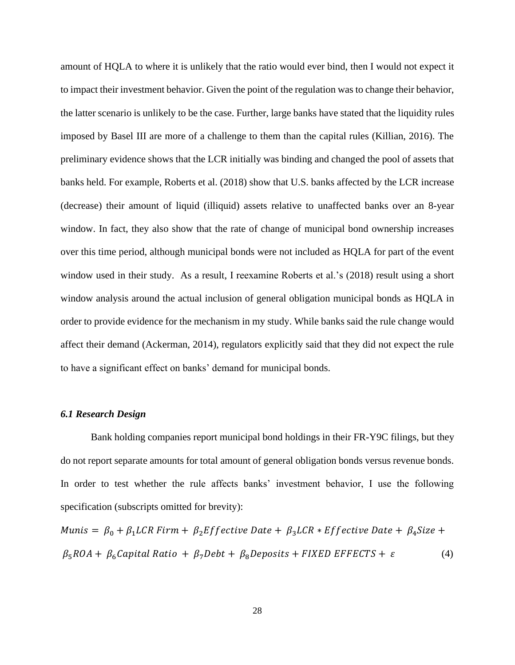amount of HQLA to where it is unlikely that the ratio would ever bind, then I would not expect it to impact their investment behavior. Given the point of the regulation was to change their behavior, the latter scenario is unlikely to be the case. Further, large banks have stated that the liquidity rules imposed by Basel III are more of a challenge to them than the capital rules (Killian, 2016). The preliminary evidence shows that the LCR initially was binding and changed the pool of assets that banks held. For example, Roberts et al. (2018) show that U.S. banks affected by the LCR increase (decrease) their amount of liquid (illiquid) assets relative to unaffected banks over an 8-year window. In fact, they also show that the rate of change of municipal bond ownership increases over this time period, although municipal bonds were not included as HQLA for part of the event window used in their study. As a result, I reexamine Roberts et al.'s (2018) result using a short window analysis around the actual inclusion of general obligation municipal bonds as HQLA in order to provide evidence for the mechanism in my study. While banks said the rule change would affect their demand (Ackerman, 2014), regulators explicitly said that they did not expect the rule to have a significant effect on banks' demand for municipal bonds.

#### *6.1 Research Design*

Bank holding companies report municipal bond holdings in their FR-Y9C filings, but they do not report separate amounts for total amount of general obligation bonds versus revenue bonds. In order to test whether the rule affects banks' investment behavior, I use the following specification (subscripts omitted for brevity):

Munis =  $\beta_0 + \beta_1 LCR$  Firm +  $\beta_2 Eff$ ective Date +  $\beta_3 LCR$  \* Effective Date +  $\beta_4 Size$  +  $\beta_5 ROA + \beta_6 Capital Ratio + \beta_7 Debt + \beta_8 Deposits + FIXED EFFECTS + \varepsilon$  (4)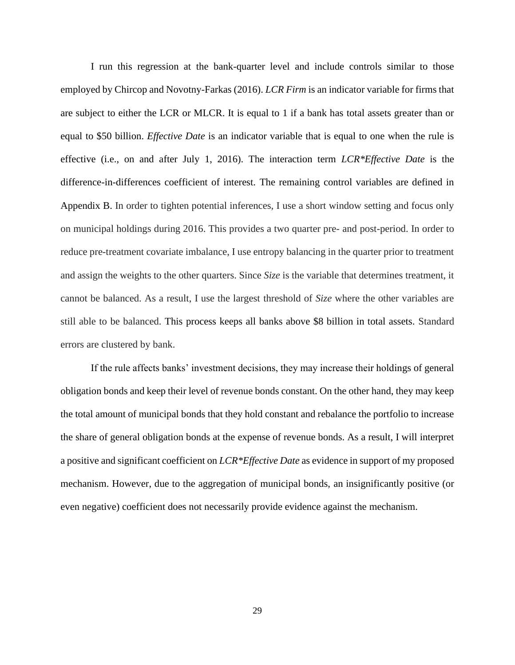I run this regression at the bank-quarter level and include controls similar to those employed by Chircop and Novotny-Farkas (2016). *LCR Firm* is an indicator variable for firms that are subject to either the LCR or MLCR. It is equal to 1 if a bank has total assets greater than or equal to \$50 billion. *Effective Date* is an indicator variable that is equal to one when the rule is effective (i.e., on and after July 1, 2016). The interaction term *LCR\*Effective Date* is the difference-in-differences coefficient of interest. The remaining control variables are defined in Appendix B. In order to tighten potential inferences, I use a short window setting and focus only on municipal holdings during 2016. This provides a two quarter pre- and post-period. In order to reduce pre-treatment covariate imbalance, I use entropy balancing in the quarter prior to treatment and assign the weights to the other quarters. Since *Size* is the variable that determines treatment, it cannot be balanced. As a result, I use the largest threshold of *Size* where the other variables are still able to be balanced. This process keeps all banks above \$8 billion in total assets. Standard errors are clustered by bank.

If the rule affects banks' investment decisions, they may increase their holdings of general obligation bonds and keep their level of revenue bonds constant. On the other hand, they may keep the total amount of municipal bonds that they hold constant and rebalance the portfolio to increase the share of general obligation bonds at the expense of revenue bonds. As a result, I will interpret a positive and significant coefficient on *LCR\*Effective Date* as evidence in support of my proposed mechanism. However, due to the aggregation of municipal bonds, an insignificantly positive (or even negative) coefficient does not necessarily provide evidence against the mechanism.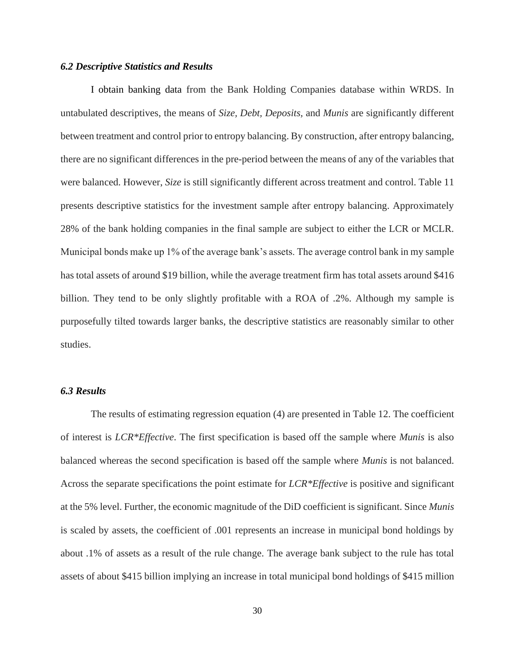## *6.2 Descriptive Statistics and Results*

I obtain banking data from the Bank Holding Companies database within WRDS. In untabulated descriptives, the means of *Size, Debt, Deposits,* and *Munis* are significantly different between treatment and control prior to entropy balancing. By construction, after entropy balancing, there are no significant differences in the pre-period between the means of any of the variables that were balanced. However, *Size* is still significantly different across treatment and control. Table 11 presents descriptive statistics for the investment sample after entropy balancing. Approximately 28% of the bank holding companies in the final sample are subject to either the LCR or MCLR. Municipal bonds make up 1% of the average bank's assets. The average control bank in my sample has total assets of around \$19 billion, while the average treatment firm has total assets around \$416 billion. They tend to be only slightly profitable with a ROA of .2%. Although my sample is purposefully tilted towards larger banks, the descriptive statistics are reasonably similar to other studies.

# *6.3 Results*

The results of estimating regression equation (4) are presented in Table 12. The coefficient of interest is *LCR\*Effective*. The first specification is based off the sample where *Munis* is also balanced whereas the second specification is based off the sample where *Munis* is not balanced. Across the separate specifications the point estimate for *LCR\*Effective* is positive and significant at the 5% level. Further, the economic magnitude of the DiD coefficient is significant. Since *Munis* is scaled by assets, the coefficient of .001 represents an increase in municipal bond holdings by about .1% of assets as a result of the rule change. The average bank subject to the rule has total assets of about \$415 billion implying an increase in total municipal bond holdings of \$415 million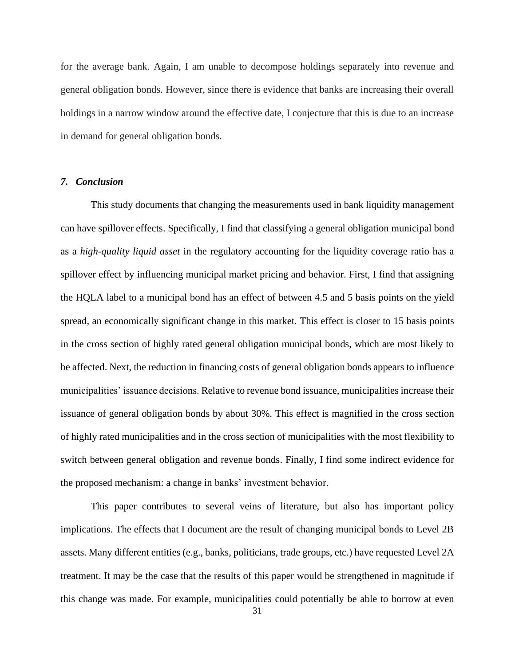for the average bank. Again, I am unable to decompose holdings separately into revenue and general obligation bonds. However, since there is evidence that banks are increasing their overall holdings in a narrow window around the effective date, I conjecture that this is due to an increase in demand for general obligation bonds.

#### *7. Conclusion*

This study documents that changing the measurements used in bank liquidity management can have spillover effects. Specifically, I find that classifying a general obligation municipal bond as a *high-quality liquid asset* in the regulatory accounting for the liquidity coverage ratio has a spillover effect by influencing municipal market pricing and behavior. First, I find that assigning the HQLA label to a municipal bond has an effect of between 4.5 and 5 basis points on the yield spread, an economically significant change in this market. This effect is closer to 15 basis points in the cross section of highly rated general obligation municipal bonds, which are most likely to be affected. Next, the reduction in financing costs of general obligation bonds appears to influence municipalities' issuance decisions. Relative to revenue bond issuance, municipalities increase their issuance of general obligation bonds by about 30%. This effect is magnified in the cross section of highly rated municipalities and in the cross section of municipalities with the most flexibility to switch between general obligation and revenue bonds. Finally, I find some indirect evidence for the proposed mechanism: a change in banks' investment behavior.

This paper contributes to several veins of literature, but also has important policy implications. The effects that I document are the result of changing municipal bonds to Level 2B assets. Many different entities (e.g., banks, politicians, trade groups, etc.) have requested Level 2A treatment. It may be the case that the results of this paper would be strengthened in magnitude if this change was made. For example, municipalities could potentially be able to borrow at even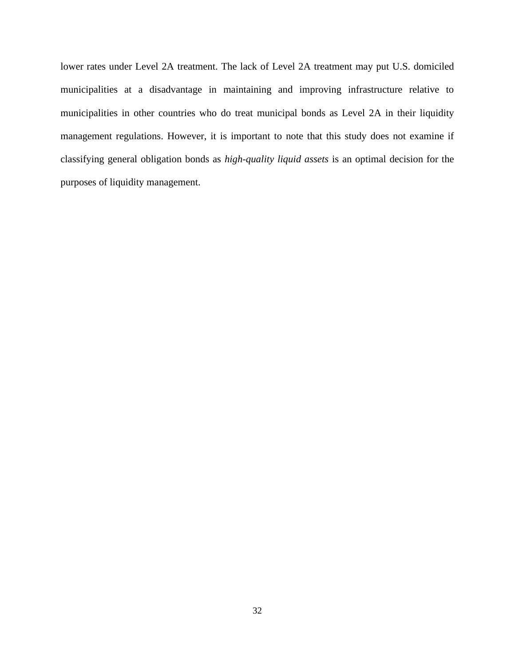lower rates under Level 2A treatment. The lack of Level 2A treatment may put U.S. domiciled municipalities at a disadvantage in maintaining and improving infrastructure relative to municipalities in other countries who do treat municipal bonds as Level 2A in their liquidity management regulations. However, it is important to note that this study does not examine if classifying general obligation bonds as *high-quality liquid assets* is an optimal decision for the purposes of liquidity management.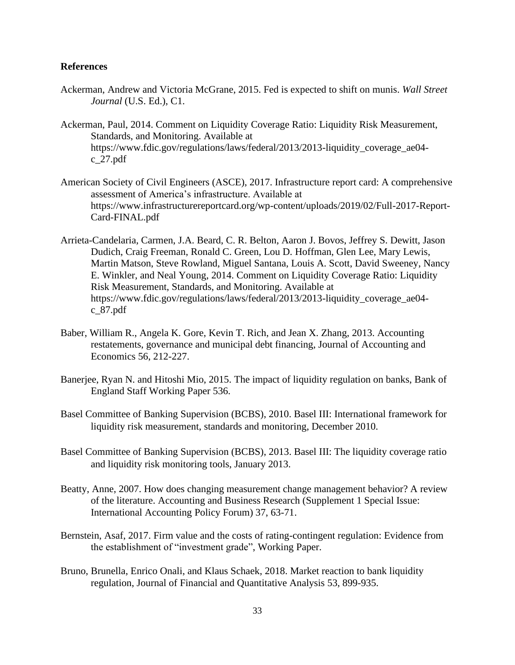# **References**

- Ackerman, Andrew and Victoria McGrane, 2015. Fed is expected to shift on munis. *Wall Street Journal* (U.S. Ed.), C1.
- Ackerman, Paul, 2014. Comment on Liquidity Coverage Ratio: Liquidity Risk Measurement, Standards, and Monitoring. Available at [https://www.fdic.gov/regulations/laws/federal/2013/2013-liquidity\\_coverage\\_ae04](https://www.fdic.gov/regulations/laws/federal/2013/2013-liquidity_coverage_ae04-c_27.pdf) [c\\_27.pdf](https://www.fdic.gov/regulations/laws/federal/2013/2013-liquidity_coverage_ae04-c_27.pdf)
- American Society of Civil Engineers (ASCE), 2017. Infrastructure report card: A comprehensive assessment of America's infrastructure. Available at https://www.infrastructurereportcard.org/wp-content/uploads/2019/02/Full-2017-Report-Card-FINAL.pdf
- Arrieta-Candelaria, Carmen, J.A. Beard, C. R. Belton, Aaron J. Bovos, Jeffrey S. Dewitt, Jason Dudich, Craig Freeman, Ronald C. Green, Lou D. Hoffman, Glen Lee, Mary Lewis, Martin Matson, Steve Rowland, Miguel Santana, Louis A. Scott, David Sweeney, Nancy E. Winkler, and Neal Young, 2014. Comment on Liquidity Coverage Ratio: Liquidity Risk Measurement, Standards, and Monitoring. Available at [https://www.fdic.gov/regulations/laws/federal/2013/2013-liquidity\\_coverage\\_ae04](https://www.fdic.gov/regulations/laws/federal/2013/2013-liquidity_coverage_ae04-c_87.pdf) [c\\_87.pdf](https://www.fdic.gov/regulations/laws/federal/2013/2013-liquidity_coverage_ae04-c_87.pdf)
- Baber, William R., Angela K. Gore, Kevin T. Rich, and Jean X. Zhang, 2013. Accounting restatements, governance and municipal debt financing, Journal of Accounting and Economics 56, 212-227.
- Banerjee, Ryan N. and Hitoshi Mio, 2015. The impact of liquidity regulation on banks, Bank of England Staff Working Paper 536.
- Basel Committee of Banking Supervision (BCBS), 2010. Basel III: International framework for liquidity risk measurement, standards and monitoring, December 2010.
- Basel Committee of Banking Supervision (BCBS), 2013. Basel III: The liquidity coverage ratio and liquidity risk monitoring tools, January 2013.
- Beatty, Anne, 2007. How does changing measurement change management behavior? A review of the literature. Accounting and Business Research (Supplement 1 Special Issue: International Accounting Policy Forum) 37, 63-71.
- Bernstein, Asaf, 2017. Firm value and the costs of rating-contingent regulation: Evidence from the establishment of "investment grade", Working Paper.
- Bruno, Brunella, Enrico Onali, and Klaus Schaek, 2018. Market reaction to bank liquidity regulation, Journal of Financial and Quantitative Analysis 53, 899-935.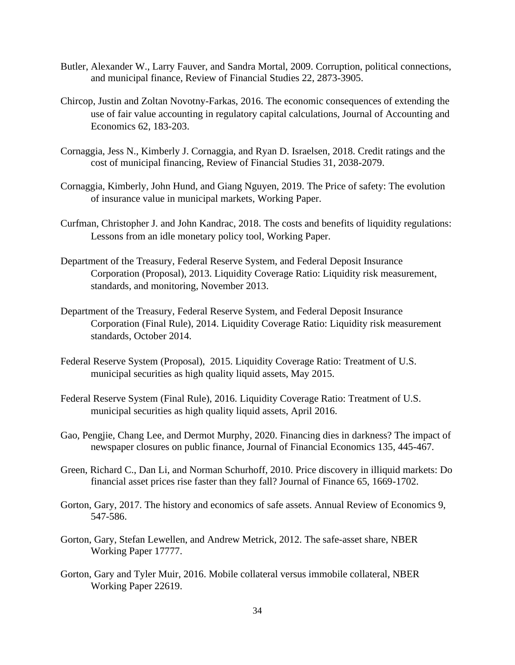- Butler, Alexander W., Larry Fauver, and Sandra Mortal, 2009. Corruption, political connections, and municipal finance, Review of Financial Studies 22, 2873-3905.
- Chircop, Justin and Zoltan Novotny-Farkas, 2016. The economic consequences of extending the use of fair value accounting in regulatory capital calculations, Journal of Accounting and Economics 62, 183-203.
- Cornaggia, Jess N., Kimberly J. Cornaggia, and Ryan D. Israelsen, 2018. Credit ratings and the cost of municipal financing, Review of Financial Studies 31, 2038-2079.
- Cornaggia, Kimberly, John Hund, and Giang Nguyen, 2019. The Price of safety: The evolution of insurance value in municipal markets, Working Paper.
- Curfman, Christopher J. and John Kandrac, 2018. The costs and benefits of liquidity regulations: Lessons from an idle monetary policy tool, Working Paper.
- Department of the Treasury, Federal Reserve System, and Federal Deposit Insurance Corporation (Proposal), 2013. Liquidity Coverage Ratio: Liquidity risk measurement, standards, and monitoring, November 2013.
- Department of the Treasury, Federal Reserve System, and Federal Deposit Insurance Corporation (Final Rule), 2014. Liquidity Coverage Ratio: Liquidity risk measurement standards, October 2014.
- Federal Reserve System (Proposal), 2015. Liquidity Coverage Ratio: Treatment of U.S. municipal securities as high quality liquid assets, May 2015.
- Federal Reserve System (Final Rule), 2016. Liquidity Coverage Ratio: Treatment of U.S. municipal securities as high quality liquid assets, April 2016.
- Gao, Pengjie, Chang Lee, and Dermot Murphy, 2020. Financing dies in darkness? The impact of newspaper closures on public finance, Journal of Financial Economics 135, 445-467.
- Green, Richard C., Dan Li, and Norman Schurhoff, 2010. Price discovery in illiquid markets: Do financial asset prices rise faster than they fall? Journal of Finance 65, 1669-1702.
- Gorton, Gary, 2017. The history and economics of safe assets. Annual Review of Economics 9, 547-586.
- Gorton, Gary, Stefan Lewellen, and Andrew Metrick, 2012. The safe-asset share, NBER Working Paper 17777.
- Gorton, Gary and Tyler Muir, 2016. Mobile collateral versus immobile collateral, NBER Working Paper 22619.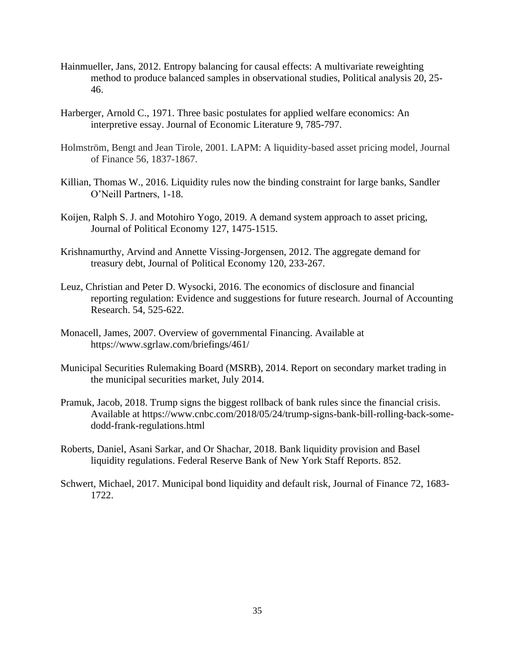- Hainmueller, Jans, 2012. Entropy balancing for causal effects: A multivariate reweighting method to produce balanced samples in observational studies, Political analysis 20, 25- 46.
- Harberger, Arnold C., 1971. Three basic postulates for applied welfare economics: An interpretive essay. Journal of Economic Literature 9, 785-797.
- Holmström, Bengt and Jean Tirole, 2001. LAPM: A liquidity-based asset pricing model, Journal of Finance 56, 1837-1867.
- Killian, Thomas W., 2016. Liquidity rules now the binding constraint for large banks, Sandler O'Neill Partners, 1-18.
- Koijen, Ralph S. J. and Motohiro Yogo, 2019. A demand system approach to asset pricing, Journal of Political Economy 127, 1475-1515.
- Krishnamurthy, Arvind and Annette Vissing-Jorgensen, 2012. The aggregate demand for treasury debt, Journal of Political Economy 120, 233-267.
- Leuz, Christian and Peter D. Wysocki, 2016. The economics of disclosure and financial reporting regulation: Evidence and suggestions for future research. Journal of Accounting Research. 54, 525-622.
- Monacell, James, 2007. Overview of governmental Financing. Available at https://www.sgrlaw.com/briefings/461/
- Municipal Securities Rulemaking Board (MSRB), 2014. Report on secondary market trading in the municipal securities market, July 2014.
- Pramuk, Jacob, 2018. Trump signs the biggest rollback of bank rules since the financial crisis. Available at https://www.cnbc.com/2018/05/24/trump-signs-bank-bill-rolling-back-somedodd-frank-regulations.html
- Roberts, Daniel, Asani Sarkar, and Or Shachar, 2018. Bank liquidity provision and Basel liquidity regulations. Federal Reserve Bank of New York Staff Reports. 852.
- Schwert, Michael, 2017. Municipal bond liquidity and default risk, Journal of Finance 72, 1683- 1722.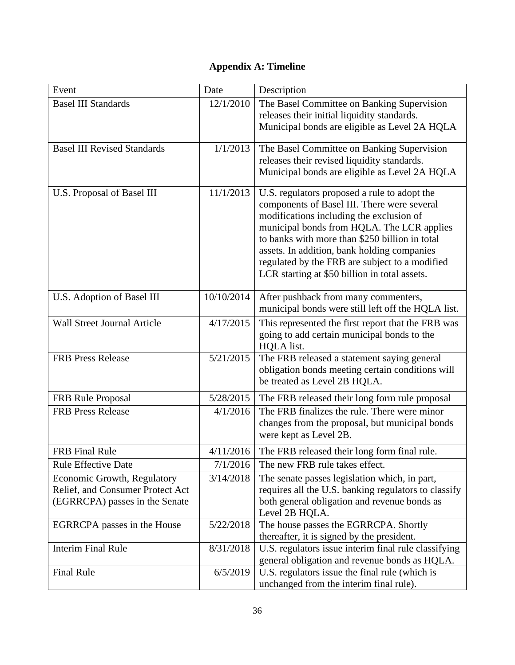# **Appendix A: Timeline**

| Event                                                                                             | Date       | Description                                                                                                                                                                                                                                                                                                                                                                               |
|---------------------------------------------------------------------------------------------------|------------|-------------------------------------------------------------------------------------------------------------------------------------------------------------------------------------------------------------------------------------------------------------------------------------------------------------------------------------------------------------------------------------------|
| <b>Basel III Standards</b>                                                                        | 12/1/2010  | The Basel Committee on Banking Supervision<br>releases their initial liquidity standards.<br>Municipal bonds are eligible as Level 2A HQLA                                                                                                                                                                                                                                                |
| <b>Basel III Revised Standards</b>                                                                | 1/1/2013   | The Basel Committee on Banking Supervision<br>releases their revised liquidity standards.<br>Municipal bonds are eligible as Level 2A HQLA                                                                                                                                                                                                                                                |
| U.S. Proposal of Basel III                                                                        | 11/1/2013  | U.S. regulators proposed a rule to adopt the<br>components of Basel III. There were several<br>modifications including the exclusion of<br>municipal bonds from HQLA. The LCR applies<br>to banks with more than \$250 billion in total<br>assets. In addition, bank holding companies<br>regulated by the FRB are subject to a modified<br>LCR starting at \$50 billion in total assets. |
| U.S. Adoption of Basel III                                                                        | 10/10/2014 | After pushback from many commenters,<br>municipal bonds were still left off the HQLA list.                                                                                                                                                                                                                                                                                                |
| <b>Wall Street Journal Article</b>                                                                | 4/17/2015  | This represented the first report that the FRB was<br>going to add certain municipal bonds to the<br>HQLA list.                                                                                                                                                                                                                                                                           |
| <b>FRB Press Release</b>                                                                          | 5/21/2015  | The FRB released a statement saying general<br>obligation bonds meeting certain conditions will<br>be treated as Level 2B HQLA.                                                                                                                                                                                                                                                           |
| <b>FRB</b> Rule Proposal                                                                          | 5/28/2015  | The FRB released their long form rule proposal                                                                                                                                                                                                                                                                                                                                            |
| <b>FRB Press Release</b>                                                                          | 4/1/2016   | The FRB finalizes the rule. There were minor<br>changes from the proposal, but municipal bonds<br>were kept as Level 2B.                                                                                                                                                                                                                                                                  |
| <b>FRB</b> Final Rule                                                                             | 4/11/2016  | The FRB released their long form final rule.                                                                                                                                                                                                                                                                                                                                              |
| <b>Rule Effective Date</b>                                                                        | 7/1/2016   | The new FRB rule takes effect.                                                                                                                                                                                                                                                                                                                                                            |
| Economic Growth, Regulatory<br>Relief, and Consumer Protect Act<br>(EGRRCPA) passes in the Senate | 3/14/2018  | The senate passes legislation which, in part,<br>requires all the U.S. banking regulators to classify<br>both general obligation and revenue bonds as<br>Level 2B HQLA.                                                                                                                                                                                                                   |
| EGRRCPA passes in the House                                                                       | 5/22/2018  | The house passes the EGRRCPA. Shortly                                                                                                                                                                                                                                                                                                                                                     |
| <b>Interim Final Rule</b>                                                                         | 8/31/2018  | thereafter, it is signed by the president.<br>U.S. regulators issue interim final rule classifying<br>general obligation and revenue bonds as HQLA.                                                                                                                                                                                                                                       |
| <b>Final Rule</b>                                                                                 | 6/5/2019   | U.S. regulators issue the final rule (which is<br>unchanged from the interim final rule).                                                                                                                                                                                                                                                                                                 |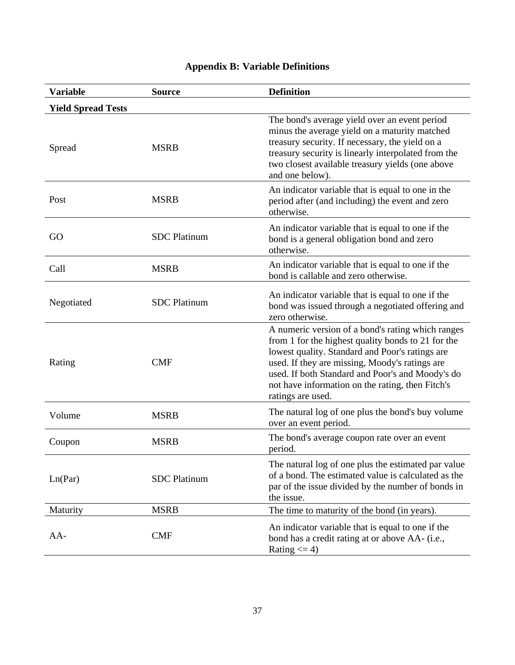| <b>Variable</b>           | <b>Source</b>       | <b>Definition</b>                                                                                                                                                                                                                                                                                                                         |
|---------------------------|---------------------|-------------------------------------------------------------------------------------------------------------------------------------------------------------------------------------------------------------------------------------------------------------------------------------------------------------------------------------------|
| <b>Yield Spread Tests</b> |                     |                                                                                                                                                                                                                                                                                                                                           |
| Spread                    | <b>MSRB</b>         | The bond's average yield over an event period<br>minus the average yield on a maturity matched<br>treasury security. If necessary, the yield on a<br>treasury security is linearly interpolated from the<br>two closest available treasury yields (one above<br>and one below).                                                           |
| Post                      | <b>MSRB</b>         | An indicator variable that is equal to one in the<br>period after (and including) the event and zero<br>otherwise.                                                                                                                                                                                                                        |
| GO                        | <b>SDC</b> Platinum | An indicator variable that is equal to one if the<br>bond is a general obligation bond and zero<br>otherwise.                                                                                                                                                                                                                             |
| Call                      | <b>MSRB</b>         | An indicator variable that is equal to one if the<br>bond is callable and zero otherwise.                                                                                                                                                                                                                                                 |
| Negotiated                | <b>SDC</b> Platinum | An indicator variable that is equal to one if the<br>bond was issued through a negotiated offering and<br>zero otherwise.                                                                                                                                                                                                                 |
| Rating                    | <b>CMF</b>          | A numeric version of a bond's rating which ranges<br>from 1 for the highest quality bonds to 21 for the<br>lowest quality. Standard and Poor's ratings are<br>used. If they are missing, Moody's ratings are<br>used. If both Standard and Poor's and Moody's do<br>not have information on the rating, then Fitch's<br>ratings are used. |
| Volume                    | <b>MSRB</b>         | The natural log of one plus the bond's buy volume<br>over an event period.                                                                                                                                                                                                                                                                |
| Coupon                    | <b>MSRB</b>         | The bond's average coupon rate over an event<br>period.                                                                                                                                                                                                                                                                                   |
| Ln(Par)                   | <b>SDC</b> Platinum | The natural log of one plus the estimated par value<br>of a bond. The estimated value is calculated as the<br>par of the issue divided by the number of bonds in<br>the issue.                                                                                                                                                            |
| Maturity                  | <b>MSRB</b>         | The time to maturity of the bond (in years).                                                                                                                                                                                                                                                                                              |
| $AA-$                     | <b>CMF</b>          | An indicator variable that is equal to one if the<br>bond has a credit rating at or above AA- (i.e.,<br>Rating $\leq$ 4)                                                                                                                                                                                                                  |

# **Appendix B: Variable Definitions**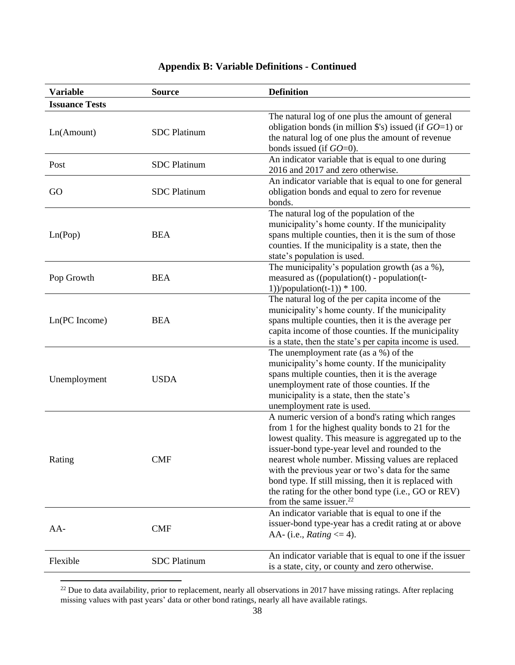| <b>Variable</b>       | <b>Source</b>       | <b>Definition</b>                                                                                                                                                                                                                                                                                                                                                                                                                                                             |
|-----------------------|---------------------|-------------------------------------------------------------------------------------------------------------------------------------------------------------------------------------------------------------------------------------------------------------------------------------------------------------------------------------------------------------------------------------------------------------------------------------------------------------------------------|
| <b>Issuance Tests</b> |                     |                                                                                                                                                                                                                                                                                                                                                                                                                                                                               |
| Ln(Amount)            | <b>SDC</b> Platinum | The natural log of one plus the amount of general<br>obligation bonds (in million $\$ 's) issued (if $GO=1$ ) or<br>the natural log of one plus the amount of revenue<br>bonds issued (if $GO=0$ ).                                                                                                                                                                                                                                                                           |
| Post                  | <b>SDC</b> Platinum | An indicator variable that is equal to one during<br>2016 and 2017 and zero otherwise.                                                                                                                                                                                                                                                                                                                                                                                        |
| GO                    | <b>SDC</b> Platinum | An indicator variable that is equal to one for general<br>obligation bonds and equal to zero for revenue<br>bonds.                                                                                                                                                                                                                                                                                                                                                            |
| Ln(Pop)               | <b>BEA</b>          | The natural log of the population of the<br>municipality's home county. If the municipality<br>spans multiple counties, then it is the sum of those<br>counties. If the municipality is a state, then the<br>state's population is used.                                                                                                                                                                                                                                      |
| Pop Growth            | <b>BEA</b>          | The municipality's population growth (as a %),<br>measured as $((population(t) - population(t$<br>1))/population(t-1)) $*$ 100.                                                                                                                                                                                                                                                                                                                                               |
| Ln(PC Income)         | <b>BEA</b>          | The natural log of the per capita income of the<br>municipality's home county. If the municipality<br>spans multiple counties, then it is the average per<br>capita income of those counties. If the municipality<br>is a state, then the state's per capita income is used.                                                                                                                                                                                                  |
| Unemployment          | <b>USDA</b>         | The unemployment rate (as a %) of the<br>municipality's home county. If the municipality<br>spans multiple counties, then it is the average<br>unemployment rate of those counties. If the<br>municipality is a state, then the state's<br>unemployment rate is used.                                                                                                                                                                                                         |
| Rating                | <b>CMF</b>          | A numeric version of a bond's rating which ranges<br>from 1 for the highest quality bonds to 21 for the<br>lowest quality. This measure is aggregated up to the<br>issuer-bond type-year level and rounded to the<br>nearest whole number. Missing values are replaced<br>with the previous year or two's data for the same<br>bond type. If still missing, then it is replaced with<br>the rating for the other bond type (i.e., GO or REV)<br>from the same issuer. $^{22}$ |
| $AA-$                 | <b>CMF</b>          | An indicator variable that is equal to one if the<br>issuer-bond type-year has a credit rating at or above<br>AA- (i.e., Rating $\leq$ 4).                                                                                                                                                                                                                                                                                                                                    |
| Flexible              | <b>SDC</b> Platinum | An indicator variable that is equal to one if the issuer<br>is a state, city, or county and zero otherwise.                                                                                                                                                                                                                                                                                                                                                                   |

# **Appendix B: Variable Definitions - Continued**

 $^{22}$  Due to data availability, prior to replacement, nearly all observations in 2017 have missing ratings. After replacing missing values with past years' data or other bond ratings, nearly all have available ratings.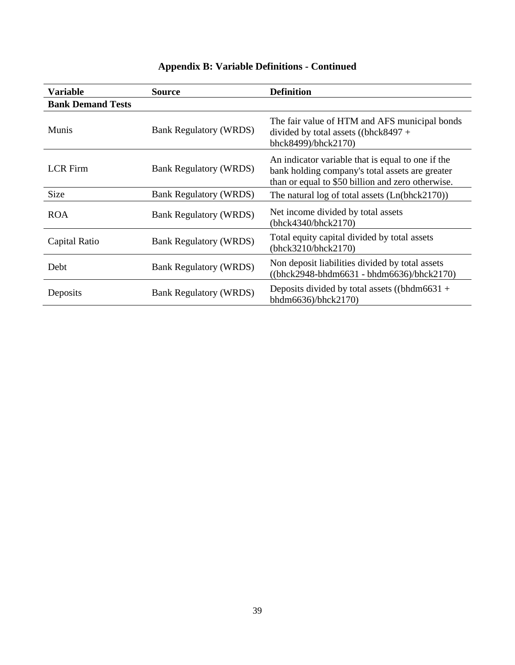| <b>Variable</b>          | Source                        | <b>Definition</b>                                                                                                                                         |
|--------------------------|-------------------------------|-----------------------------------------------------------------------------------------------------------------------------------------------------------|
| <b>Bank Demand Tests</b> |                               |                                                                                                                                                           |
| <b>Munis</b>             | <b>Bank Regulatory (WRDS)</b> | The fair value of HTM and AFS municipal bonds<br>divided by total assets ((bhck8497 +<br>bhck8499)/bhck2170)                                              |
| <b>LCR</b> Firm          | <b>Bank Regulatory (WRDS)</b> | An indicator variable that is equal to one if the<br>bank holding company's total assets are greater<br>than or equal to \$50 billion and zero otherwise. |
| <b>Size</b>              | <b>Bank Regulatory (WRDS)</b> | The natural log of total assets $(Ln(bhck2170))$                                                                                                          |
| <b>ROA</b>               | <b>Bank Regulatory (WRDS)</b> | Net income divided by total assets<br>(bhck4340/bhck2170)                                                                                                 |
| Capital Ratio            | <b>Bank Regulatory (WRDS)</b> | Total equity capital divided by total assets<br>(bhck3210/bhck2170)                                                                                       |
| Debt                     | <b>Bank Regulatory (WRDS)</b> | Non deposit liabilities divided by total assets<br>$((bhck2948-bhdm6631 - bhdm6636)/bhck2170)$                                                            |
| Deposits                 | <b>Bank Regulatory (WRDS)</b> | Deposits divided by total assets ((bhdm6631 +<br>bhdm6636)/bhck2170)                                                                                      |

# **Appendix B: Variable Definitions - Continued**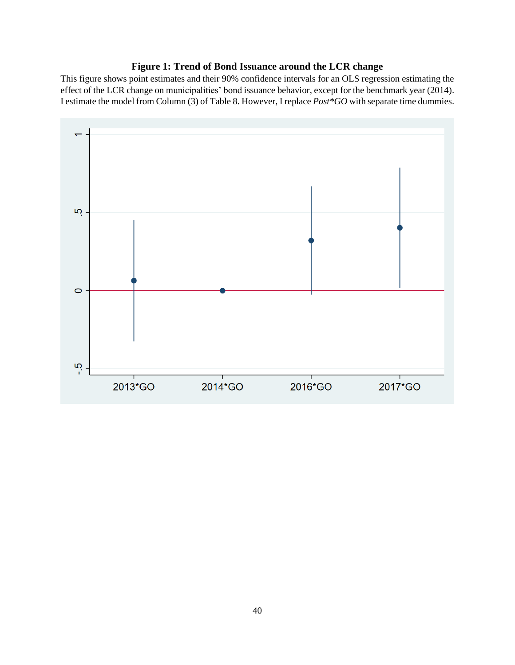# **Figure 1: Trend of Bond Issuance around the LCR change**

This figure shows point estimates and their 90% confidence intervals for an OLS regression estimating the effect of the LCR change on municipalities' bond issuance behavior, except for the benchmark year (2014). I estimate the model from Column (3) of Table 8. However, I replace *Post\*GO* with separate time dummies.

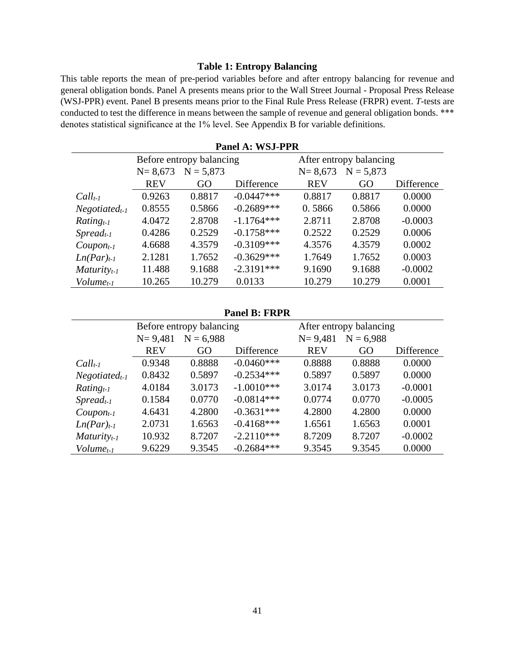#### **Table 1: Entropy Balancing**

This table reports the mean of pre-period variables before and after entropy balancing for revenue and general obligation bonds. Panel A presents means prior to the Wall Street Journal - Proposal Press Release (WSJ-PPR) event. Panel B presents means prior to the Final Rule Press Release (FRPR) event. *T-*tests are conducted to test the difference in means between the sample of revenue and general obligation bonds. \*\*\* denotes statistical significance at the 1% level. See Appendix B for variable definitions.

|                                 | Before entropy balancing |             |              |             | After entropy balancing |            |  |
|---------------------------------|--------------------------|-------------|--------------|-------------|-------------------------|------------|--|
|                                 | $N = 8,673$              | $N = 5,873$ |              | $N = 8,673$ | $N = 5,873$             |            |  |
|                                 | <b>REV</b>               | GO          | Difference   | <b>REV</b>  | GO                      | Difference |  |
| $Call_{t-1}$                    | 0.9263                   | 0.8817      | $-0.0447***$ | 0.8817      | 0.8817                  | 0.0000     |  |
| $Negotiated_{t-1}$              | 0.8555                   | 0.5866      | $-0.2689***$ | 0.5866      | 0.5866                  | 0.0000     |  |
| $Rating_{t-1}$                  | 4.0472                   | 2.8708      | $-1.1764***$ | 2.8711      | 2.8708                  | $-0.0003$  |  |
| $S$ <i>pread</i> <sub>t-1</sub> | 0.4286                   | 0.2529      | $-0.1758***$ | 0.2522      | 0.2529                  | 0.0006     |  |
| $Coupon_{t-1}$                  | 4.6688                   | 4.3579      | $-0.3109***$ | 4.3576      | 4.3579                  | 0.0002     |  |
| $Ln(Par)_{t-1}$                 | 2.1281                   | 1.7652      | $-0.3629***$ | 1.7649      | 1.7652                  | 0.0003     |  |
| $Maturity_{t-1}$                | 11.488                   | 9.1688      | $-2.3191***$ | 9.1690      | 9.1688                  | $-0.0002$  |  |
| $Volume_{t-1}$                  | 10.265                   | 10.279      | 0.0133       | 10.279      | 10.279                  | 0.0001     |  |

**Panel A: WSJ-PPR**

#### **Panel B: FRPR**

|                                 | Before entropy balancing |             |               |             | After entropy balancing |            |  |
|---------------------------------|--------------------------|-------------|---------------|-------------|-------------------------|------------|--|
|                                 | $N = 9,481$              | $N = 6,988$ |               | $N = 9,481$ | $N = 6,988$             |            |  |
|                                 | <b>REV</b>               | GO          | Difference    | <b>REV</b>  | GO                      | Difference |  |
| $Call_{t-1}$                    | 0.9348                   | 0.8888      | $-0.0460***$  | 0.8888      | 0.8888                  | 0.0000     |  |
| $Negotiated_{t-1}$              | 0.8432                   | 0.5897      | $-0.2534***$  | 0.5897      | 0.5897                  | 0.0000     |  |
| $Rating_{t-1}$                  | 4.0184                   | 3.0173      | $-1.0010***$  | 3.0174      | 3.0173                  | $-0.0001$  |  |
| $S$ <i>pread</i> <sub>t-1</sub> | 0.1584                   | 0.0770      | $-0.0814***$  | 0.0774      | 0.0770                  | $-0.0005$  |  |
| ${Coupon_{t-1}}$                | 4.6431                   | 4.2800      | $-0.3631***$  | 4.2800      | 4.2800                  | 0.0000     |  |
| $Ln(Par)_{t-1}$                 | 2.0731                   | 1.6563      | $-0.4168$ *** | 1.6561      | 1.6563                  | 0.0001     |  |
| $Maturity_{t-1}$                | 10.932                   | 8.7207      | $-2.2110***$  | 8.7209      | 8.7207                  | $-0.0002$  |  |
| $Volume_{t-1}$                  | 9.6229                   | 9.3545      | $-0.2684***$  | 9.3545      | 9.3545                  | 0.0000     |  |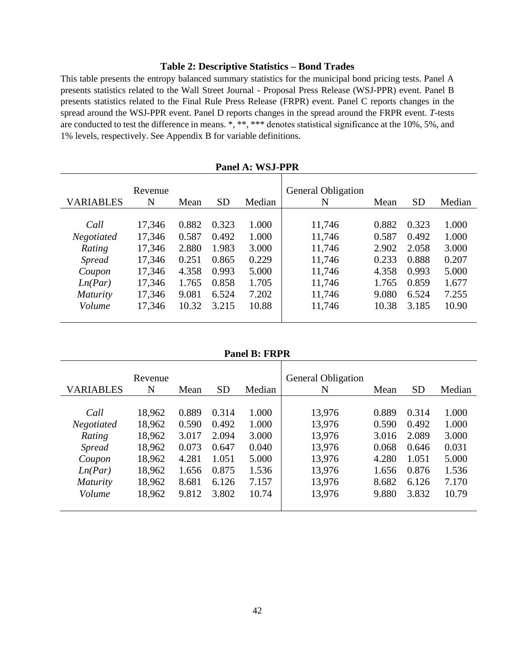### **Table 2: Descriptive Statistics – Bond Trades**

This table presents the entropy balanced summary statistics for the municipal bond pricing tests. Panel A presents statistics related to the Wall Street Journal - Proposal Press Release (WSJ-PPR) event. Panel B presents statistics related to the Final Rule Press Release (FRPR) event. Panel C reports changes in the spread around the WSJ-PPR event. Panel D reports changes in the spread around the FRPR event. *T-*tests are conducted to test the difference in means. \*, \*\*, \*\*\* denotes statistical significance at the 10%, 5%, and 1% levels, respectively. See Appendix B for variable definitions.

|                  | Revenue |       |           |        | <b>General Obligation</b> |       |           |        |
|------------------|---------|-------|-----------|--------|---------------------------|-------|-----------|--------|
| <b>VARIABLES</b> | N       | Mean  | <b>SD</b> | Median | N                         | Mean  | <b>SD</b> | Median |
|                  |         |       |           |        |                           |       |           |        |
| Call             | 17,346  | 0.882 | 0.323     | 1.000  | 11,746                    | 0.882 | 0.323     | 1.000  |
| Negotiated       | 17,346  | 0.587 | 0.492     | 1.000  | 11,746                    | 0.587 | 0.492     | 1.000  |
| Rating           | 17,346  | 2.880 | 1.983     | 3.000  | 11,746                    | 2.902 | 2.058     | 3.000  |
| <i>Spread</i>    | 17,346  | 0.251 | 0.865     | 0.229  | 11,746                    | 0.233 | 0.888     | 0.207  |
| Coupon           | 17,346  | 4.358 | 0.993     | 5.000  | 11,746                    | 4.358 | 0.993     | 5.000  |
| Ln(Par)          | 17,346  | 1.765 | 0.858     | 1.705  | 11,746                    | 1.765 | 0.859     | 1.677  |
| <i>Maturity</i>  | 17,346  | 9.081 | 6.524     | 7.202  | 11,746                    | 9.080 | 6.524     | 7.255  |
| Volume           | 17,346  | 10.32 | 3.215     | 10.88  | 11,746                    | 10.38 | 3.185     | 10.90  |
|                  |         |       |           |        |                           |       |           |        |

**Panel A: WSJ-PPR**

**Panel B: FRPR**

|                  | Revenue |       |           |        | <b>General Obligation</b> |       |           |        |
|------------------|---------|-------|-----------|--------|---------------------------|-------|-----------|--------|
| <b>VARIABLES</b> | N       | Mean  | <b>SD</b> | Median | N                         | Mean  | <b>SD</b> | Median |
|                  |         |       |           |        |                           |       |           |        |
| Call             | 18,962  | 0.889 | 0.314     | 1.000  | 13,976                    | 0.889 | 0.314     | 1.000  |
| Negotiated       | 18,962  | 0.590 | 0.492     | 1.000  | 13,976                    | 0.590 | 0.492     | 1.000  |
| Rating           | 18,962  | 3.017 | 2.094     | 3.000  | 13,976                    | 3.016 | 2.089     | 3.000  |
| <i>Spread</i>    | 18,962  | 0.073 | 0.647     | 0.040  | 13,976                    | 0.068 | 0.646     | 0.031  |
| Coupon           | 18,962  | 4.281 | 1.051     | 5.000  | 13,976                    | 4.280 | 1.051     | 5.000  |
| Ln(Par)          | 18,962  | 1.656 | 0.875     | 1.536  | 13,976                    | 1.656 | 0.876     | 1.536  |
| <i>Maturity</i>  | 18,962  | 8.681 | 6.126     | 7.157  | 13,976                    | 8.682 | 6.126     | 7.170  |
| Volume           | 18,962  | 9.812 | 3.802     | 10.74  | 13,976                    | 9.880 | 3.832     | 10.79  |
|                  |         |       |           |        |                           |       |           |        |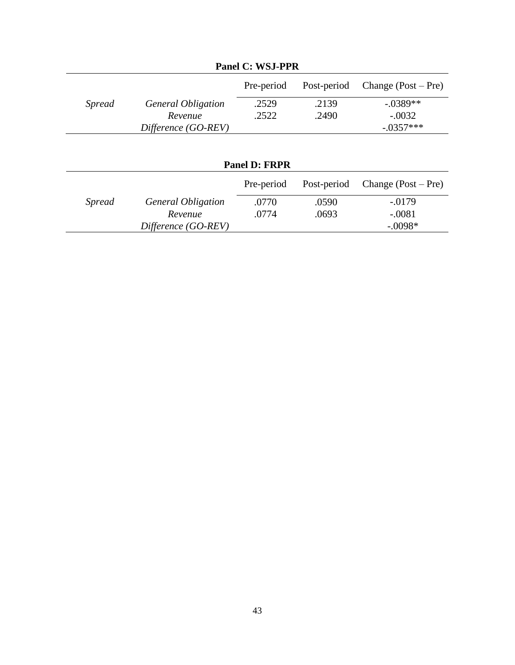|               | Tanci C. Woo-FFR          |            |             |                       |  |  |
|---------------|---------------------------|------------|-------------|-----------------------|--|--|
|               |                           | Pre-period | Post-period | Change $(Post - Pre)$ |  |  |
| <i>Spread</i> | <b>General Obligation</b> | .2529      | .2139       | $-.0389**$            |  |  |
|               | Revenue                   | .2522      | .2490       | $-.0032$              |  |  |
|               | Difference (GO-REV)       |            |             | $-.0357***$           |  |  |
|               | <b>Panel D: FRPR</b>      |            |             |                       |  |  |
|               |                           | Pre-period | Post-period | Change $(Post - Pre)$ |  |  |
| <i>Spread</i> | <b>General Obligation</b> | .0770      | .0590       | $-0.0179$             |  |  |
|               | Revenue                   | .0774      | .0693       | $-.0081$              |  |  |
|               | Difference (GO-REV)       |            |             | $-.0098*$             |  |  |

**Panel C: WSJ-PPR**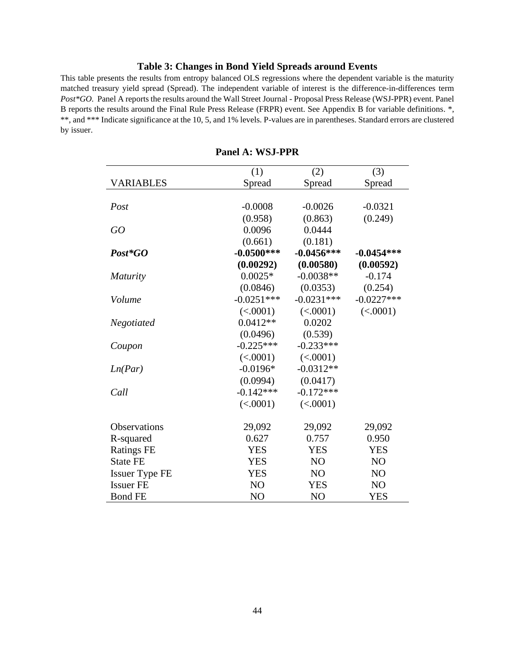#### **Table 3: Changes in Bond Yield Spreads around Events**

This table presents the results from entropy balanced OLS regressions where the dependent variable is the maturity matched treasury yield spread (Spread). The independent variable of interest is the difference-in-differences term *Post\*GO.* Panel A reports the results around the Wall Street Journal - Proposal Press Release (WSJ-PPR) event. Panel B reports the results around the Final Rule Press Release (FRPR) event. See Appendix B for variable definitions. \*, \*\*, and \*\*\* Indicate significance at the 10, 5, and 1% levels. P-values are in parentheses. Standard errors are clustered by issuer.

|                       | (1)            | (2)            | (3)            |
|-----------------------|----------------|----------------|----------------|
| <b>VARIABLES</b>      | Spread         | Spread         | Spread         |
|                       |                |                |                |
| Post                  | $-0.0008$      | $-0.0026$      | $-0.0321$      |
|                       | (0.958)        | (0.863)        | (0.249)        |
| GO                    | 0.0096         | 0.0444         |                |
|                       | (0.661)        | (0.181)        |                |
| $Post*GO$             | $-0.0500***$   | $-0.0456***$   | $-0.0454***$   |
|                       | (0.00292)      | (0.00580)      | (0.00592)      |
| <b>Maturity</b>       | $0.0025*$      | $-0.0038**$    | $-0.174$       |
|                       | (0.0846)       | (0.0353)       | (0.254)        |
| Volume                | $-0.0251***$   | $-0.0231***$   | $-0.0227***$   |
|                       | (<.0001)       | (<.0001)       | (<.0001)       |
| Negotiated            | $0.0412**$     | 0.0202         |                |
|                       | (0.0496)       | (0.539)        |                |
| Coupon                | $-0.225***$    | $-0.233***$    |                |
|                       | (<.0001)       | (<.0001)       |                |
| Ln(Par)               | $-0.0196*$     | $-0.0312**$    |                |
|                       | (0.0994)       | (0.0417)       |                |
| Call                  | $-0.142***$    | $-0.172***$    |                |
|                       | (<.0001)       | (<.0001)       |                |
|                       |                |                |                |
| Observations          | 29,092         | 29,092         | 29,092         |
| R-squared             | 0.627          | 0.757          | 0.950          |
| <b>Ratings FE</b>     | <b>YES</b>     | <b>YES</b>     | <b>YES</b>     |
| <b>State FE</b>       | <b>YES</b>     | NO             | N <sub>O</sub> |
| <b>Issuer Type FE</b> | <b>YES</b>     | N <sub>O</sub> | N <sub>O</sub> |
| <b>Issuer FE</b>      | N <sub>O</sub> | <b>YES</b>     | N <sub>O</sub> |
| <b>Bond FE</b>        | NO             | N <sub>O</sub> | <b>YES</b>     |

#### **Panel A: WSJ-PPR**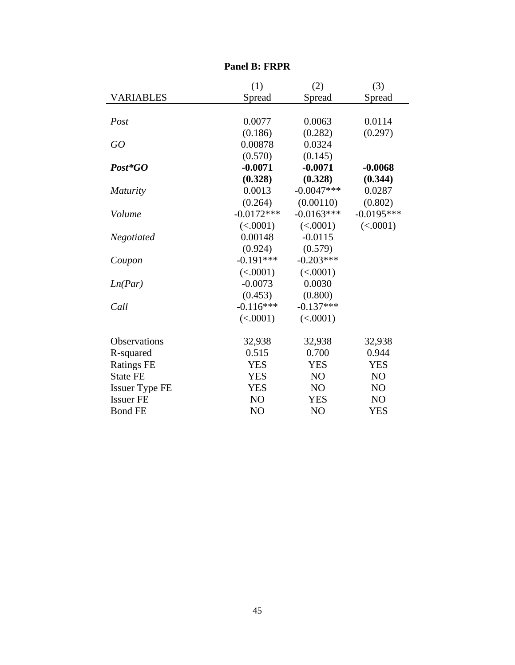|                       | (1)            | (2)            | (3)            |
|-----------------------|----------------|----------------|----------------|
| <b>VARIABLES</b>      | Spread         | Spread         | Spread         |
|                       |                |                |                |
| Post                  | 0.0077         | 0.0063         | 0.0114         |
|                       | (0.186)        | (0.282)        | (0.297)        |
| GO                    | 0.00878        | 0.0324         |                |
|                       | (0.570)        | (0.145)        |                |
| Post*GO               | $-0.0071$      | $-0.0071$      | $-0.0068$      |
|                       | (0.328)        | (0.328)        | (0.344)        |
| <b>Maturity</b>       | 0.0013         | $-0.0047***$   | 0.0287         |
|                       | (0.264)        | (0.00110)      | (0.802)        |
| Volume                | $-0.0172***$   | $-0.0163***$   | $-0.0195***$   |
|                       | (<.0001)       | (<.0001)       | (<.0001)       |
| Negotiated            | 0.00148        | $-0.0115$      |                |
|                       | (0.924)        | (0.579)        |                |
| Coupon                | $-0.191***$    | $-0.203***$    |                |
|                       | (<.0001)       | (<.0001)       |                |
| Ln(Par)               | $-0.0073$      | 0.0030         |                |
|                       | (0.453)        | (0.800)        |                |
| Call                  | $-0.116***$    | $-0.137***$    |                |
|                       | (<.0001)       | (<.0001)       |                |
| Observations          | 32,938         | 32,938         | 32,938         |
| R-squared             | 0.515          | 0.700          | 0.944          |
| <b>Ratings FE</b>     | <b>YES</b>     | <b>YES</b>     | <b>YES</b>     |
| <b>State FE</b>       | <b>YES</b>     | NO             | NO             |
| <b>Issuer Type FE</b> | <b>YES</b>     | NO             | NO             |
| <b>Issuer FE</b>      | N <sub>O</sub> | <b>YES</b>     | N <sub>O</sub> |
| <b>Bond FE</b>        | N <sub>O</sub> | N <sub>O</sub> | <b>YES</b>     |

**Panel B: FRPR**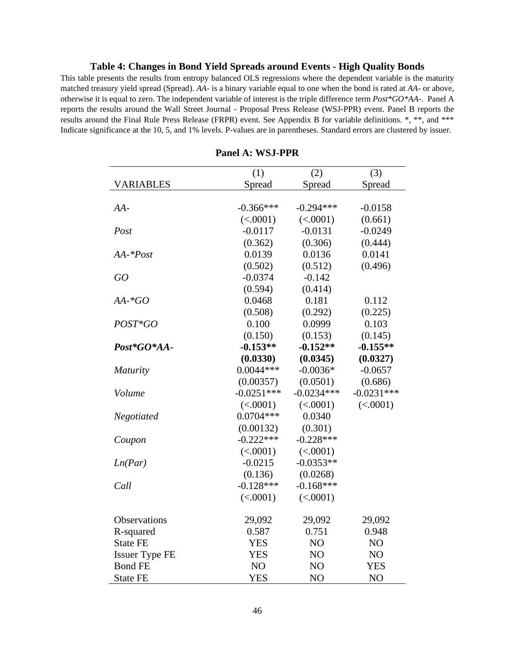#### **Table 4: Changes in Bond Yield Spreads around Events - High Quality Bonds**

This table presents the results from entropy balanced OLS regressions where the dependent variable is the maturity matched treasury yield spread (Spread). *AA-* is a binary variable equal to one when the bond is rated at *AA-* or above, otherwise it is equal to zero. The independent variable of interest is the triple difference term *Post\*GO\*AA-.* Panel A reports the results around the Wall Street Journal - Proposal Press Release (WSJ-PPR) event. Panel B reports the results around the Final Rule Press Release (FRPR) event. See Appendix B for variable definitions. \*, \*\*, and \*\*\* Indicate significance at the 10, 5, and 1% levels. P-values are in parentheses. Standard errors are clustered by issuer.

|                       | (1)          | (2)          | (3)          |
|-----------------------|--------------|--------------|--------------|
| <b>VARIABLES</b>      | Spread       | Spread       | Spread       |
|                       |              |              |              |
| $AA-$                 | $-0.366***$  | $-0.294***$  | $-0.0158$    |
|                       | (<.0001)     | (<.0001)     | (0.661)      |
| Post                  | $-0.0117$    | $-0.0131$    | $-0.0249$    |
|                       | (0.362)      | (0.306)      | (0.444)      |
| $AA$ -* $Post$        | 0.0139       | 0.0136       | 0.0141       |
|                       | (0.502)      | (0.512)      | (0.496)      |
| GO                    | $-0.0374$    | $-0.142$     |              |
|                       | (0.594)      | (0.414)      |              |
| $AA$ -* $GO$          | 0.0468       | 0.181        | 0.112        |
|                       | (0.508)      | (0.292)      | (0.225)      |
| $POST*GO$             | 0.100        | 0.0999       | 0.103        |
|                       | (0.150)      | (0.153)      | (0.145)      |
| Post*GO*AA-           | $-0.153**$   | $-0.152**$   | $-0.155**$   |
|                       | (0.0330)     | (0.0345)     | (0.0327)     |
| Maturity              | $0.0044***$  | $-0.0036*$   | $-0.0657$    |
|                       | (0.00357)    | (0.0501)     | (0.686)      |
| Volume                | $-0.0251***$ | $-0.0234***$ | $-0.0231***$ |
|                       | (<.0001)     | (<.0001)     | (<.0001)     |
| <b>Negotiated</b>     | $0.0704***$  | 0.0340       |              |
|                       | (0.00132)    | (0.301)      |              |
| Coupon                | $-0.222***$  | $-0.228***$  |              |
|                       | (<.0001)     | (<.0001)     |              |
| Ln(Par)               | $-0.0215$    | $-0.0353**$  |              |
|                       | (0.136)      | (0.0268)     |              |
| Call                  | $-0.128***$  | $-0.168***$  |              |
|                       | (<.0001)     | (<.0001)     |              |
| Observations          | 29,092       | 29,092       | 29,092       |
| R-squared             | 0.587        | 0.751        | 0.948        |
| <b>State FE</b>       | <b>YES</b>   | NO           | NO           |
| <b>Issuer Type FE</b> | <b>YES</b>   | NO           | NO           |
| <b>Bond FE</b>        | NO           | NO           | <b>YES</b>   |
| <b>State FE</b>       | <b>YES</b>   | NO           | NO           |

#### **Panel A: WSJ-PPR**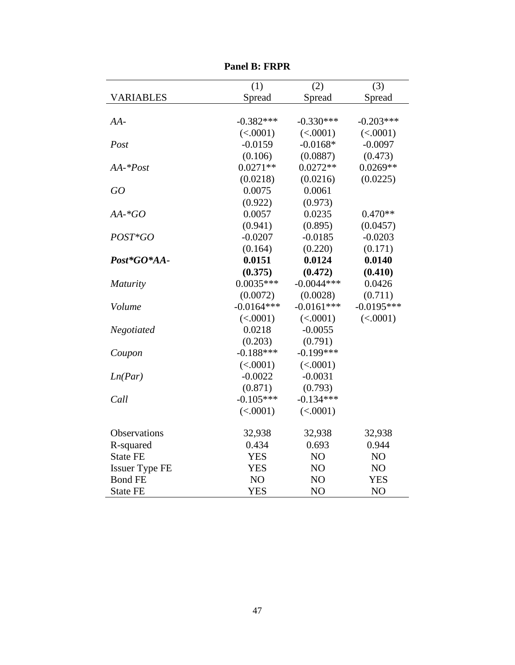|                       | (1)          | (2)            | (3)          |
|-----------------------|--------------|----------------|--------------|
| <b>VARIABLES</b>      | Spread       | Spread         | Spread       |
|                       |              |                |              |
| $AA-$                 | $-0.382***$  | $-0.330***$    | $-0.203***$  |
|                       | (<.0001)     | (<.0001)       | (<.0001)     |
| Post                  | $-0.0159$    | $-0.0168*$     | $-0.0097$    |
|                       | (0.106)      | (0.0887)       | (0.473)      |
| $AA - Post$           | $0.0271**$   | $0.0272**$     | $0.0269**$   |
|                       | (0.0218)     | (0.0216)       | (0.0225)     |
| GO                    | 0.0075       | 0.0061         |              |
|                       | (0.922)      | (0.973)        |              |
| $AA$ -* $GO$          | 0.0057       | 0.0235         | $0.470**$    |
|                       | (0.941)      | (0.895)        | (0.0457)     |
| POST*GO               | $-0.0207$    | $-0.0185$      | $-0.0203$    |
|                       | (0.164)      | (0.220)        | (0.171)      |
| Post*GO*AA-           | 0.0151       | 0.0124         | 0.0140       |
|                       | (0.375)      | (0.472)        | (0.410)      |
| <b>Maturity</b>       | $0.0035***$  | $-0.0044***$   | 0.0426       |
|                       | (0.0072)     | (0.0028)       | (0.711)      |
| Volume                | $-0.0164***$ | $-0.0161***$   | $-0.0195***$ |
|                       | (<.0001)     | (<.0001)       | (<.0001)     |
| Negotiated            | 0.0218       | $-0.0055$      |              |
|                       | (0.203)      | (0.791)        |              |
| Coupon                | $-0.188***$  | $-0.199***$    |              |
|                       | (<.0001)     | (<.0001)       |              |
| Ln(Par)               | $-0.0022$    | $-0.0031$      |              |
|                       | (0.871)      | (0.793)        |              |
| Call                  | $-0.105***$  | $-0.134***$    |              |
|                       | (<.0001)     | (<.0001)       |              |
| <b>Observations</b>   | 32,938       | 32,938         | 32,938       |
| R-squared             | 0.434        | 0.693          | 0.944        |
| <b>State FE</b>       | <b>YES</b>   | NO             | NO           |
| <b>Issuer Type FE</b> | <b>YES</b>   | N <sub>O</sub> | NO           |
| <b>Bond FE</b>        | NO           | N <sub>O</sub> | <b>YES</b>   |
| <b>State FE</b>       | <b>YES</b>   | NO             | NO           |

**Panel B: FRPR**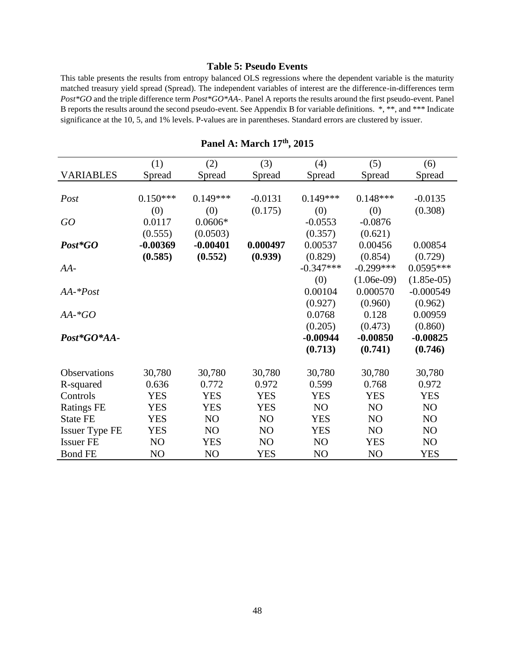#### **Table 5: Pseudo Events**

This table presents the results from entropy balanced OLS regressions where the dependent variable is the maturity matched treasury yield spread (Spread). The independent variables of interest are the difference-in-differences term *Post\*GO* and the triple difference term *Post\*GO\*AA-.* Panel A reports the results around the first pseudo-event. Panel B reports the results around the second pseudo-event. See Appendix B for variable definitions. \*, \*\*, and \*\*\* Indicate significance at the 10, 5, and 1% levels. P-values are in parentheses. Standard errors are clustered by issuer.

|                       | (1)            | (2)        | (3)        | (4)         | (5)          | (6)            |
|-----------------------|----------------|------------|------------|-------------|--------------|----------------|
| <b>VARIABLES</b>      | Spread         | Spread     | Spread     | Spread      | Spread       | Spread         |
|                       |                |            |            |             |              |                |
| Post                  | $0.150***$     | $0.149***$ | $-0.0131$  | $0.149***$  | $0.148***$   | $-0.0135$      |
|                       | (0)            | (0)        | (0.175)    | (0)         | (0)          | (0.308)        |
| GO                    | 0.0117         | $0.0606*$  |            | $-0.0553$   | $-0.0876$    |                |
|                       | (0.555)        | (0.0503)   |            | (0.357)     | (0.621)      |                |
| Post*GO               | $-0.00369$     | $-0.00401$ | 0.000497   | 0.00537     | 0.00456      | 0.00854        |
|                       | (0.585)        | (0.552)    | (0.939)    | (0.829)     | (0.854)      | (0.729)        |
| $AA-$                 |                |            |            | $-0.347***$ | $-0.299***$  | $0.0595***$    |
|                       |                |            |            | (0)         | $(1.06e-09)$ | $(1.85e-05)$   |
| $AA$ -* $Post$        |                |            |            | 0.00104     | 0.000570     | $-0.000549$    |
|                       |                |            |            | (0.927)     | (0.960)      | (0.962)        |
| $AA$ -* $GO$          |                |            |            | 0.0768      | 0.128        | 0.00959        |
|                       |                |            |            | (0.205)     | (0.473)      | (0.860)        |
| Post*GO*AA-           |                |            |            | $-0.00944$  | $-0.00850$   | $-0.00825$     |
|                       |                |            |            | (0.713)     | (0.741)      | (0.746)        |
|                       |                |            |            |             |              |                |
| Observations          | 30,780         | 30,780     | 30,780     | 30,780      | 30,780       | 30,780         |
| R-squared             | 0.636          | 0.772      | 0.972      | 0.599       | 0.768        | 0.972          |
| Controls              | <b>YES</b>     | <b>YES</b> | <b>YES</b> | <b>YES</b>  | <b>YES</b>   | <b>YES</b>     |
| <b>Ratings FE</b>     | <b>YES</b>     | <b>YES</b> | <b>YES</b> | NO          | NO           | NO             |
| <b>State FE</b>       | <b>YES</b>     | NO         | NO         | <b>YES</b>  | NO           | N <sub>O</sub> |
| <b>Issuer Type FE</b> | <b>YES</b>     | NO         | NO         | <b>YES</b>  | NO           | N <sub>O</sub> |
| <b>Issuer FE</b>      | N <sub>O</sub> | YES        | NO         | NO          | <b>YES</b>   | N <sub>O</sub> |
| <b>Bond FE</b>        | NO             | NO         | <b>YES</b> | NO          | NO           | <b>YES</b>     |

**Panel A: March 17th, 2015**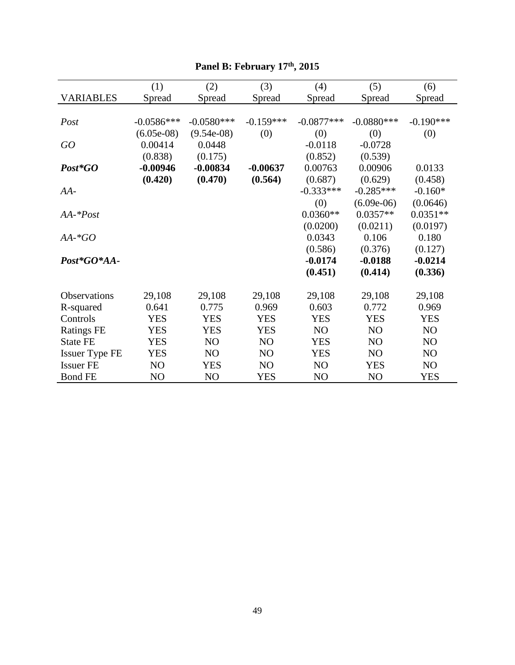|                       | (1)          | (2)            | (3)         | (4)          | (5)            | (6)         |
|-----------------------|--------------|----------------|-------------|--------------|----------------|-------------|
| <b>VARIABLES</b>      | Spread       | Spread         | Spread      | Spread       | Spread         | Spread      |
|                       |              |                |             |              |                |             |
| Post                  | $-0.0586***$ | $-0.0580***$   | $-0.159***$ | $-0.0877***$ | $-0.0880***$   | $-0.190***$ |
|                       | $(6.05e-08)$ | $(9.54e-08)$   | (0)         | (0)          | (0)            | (0)         |
| GO                    | 0.00414      | 0.0448         |             | $-0.0118$    | $-0.0728$      |             |
|                       | (0.838)      | (0.175)        |             | (0.852)      | (0.539)        |             |
| Post*GO               | $-0.00946$   | $-0.00834$     | $-0.00637$  | 0.00763      | 0.00906        | 0.0133      |
|                       | (0.420)      | (0.470)        | (0.564)     | (0.687)      | (0.629)        | (0.458)     |
| $AA-$                 |              |                |             | $-0.333***$  | $-0.285***$    | $-0.160*$   |
|                       |              |                |             | (0)          | $(6.09e-06)$   | (0.0646)    |
| $AA$ -* $Post$        |              |                |             | $0.0360**$   | $0.0357**$     | $0.0351**$  |
|                       |              |                |             | (0.0200)     | (0.0211)       | (0.0197)    |
| $AA$ -* $GO$          |              |                |             | 0.0343       | 0.106          | 0.180       |
|                       |              |                |             | (0.586)      | (0.376)        | (0.127)     |
| Post*GO*AA-           |              |                |             | $-0.0174$    | $-0.0188$      | $-0.0214$   |
|                       |              |                |             | (0.451)      | (0.414)        | (0.336)     |
|                       |              |                |             |              |                |             |
| Observations          | 29,108       | 29,108         | 29,108      | 29,108       | 29,108         | 29,108      |
| R-squared             | 0.641        | 0.775          | 0.969       | 0.603        | 0.772          | 0.969       |
| Controls              | <b>YES</b>   | <b>YES</b>     | <b>YES</b>  | <b>YES</b>   | <b>YES</b>     | <b>YES</b>  |
| <b>Ratings FE</b>     | <b>YES</b>   | <b>YES</b>     | <b>YES</b>  | NO           | NO             | NO          |
| <b>State FE</b>       | <b>YES</b>   | NO             | NO          | <b>YES</b>   | NO             | NO          |
| <b>Issuer Type FE</b> | <b>YES</b>   | NO             | NO          | <b>YES</b>   | N <sub>O</sub> | NO          |
| <b>Issuer FE</b>      | NO           | <b>YES</b>     | NO          | NO           | <b>YES</b>     | NO          |
| <b>Bond FE</b>        | NO           | N <sub>O</sub> | <b>YES</b>  | NO           | NO             | <b>YES</b>  |

# **Panel B: February 17th, 2015**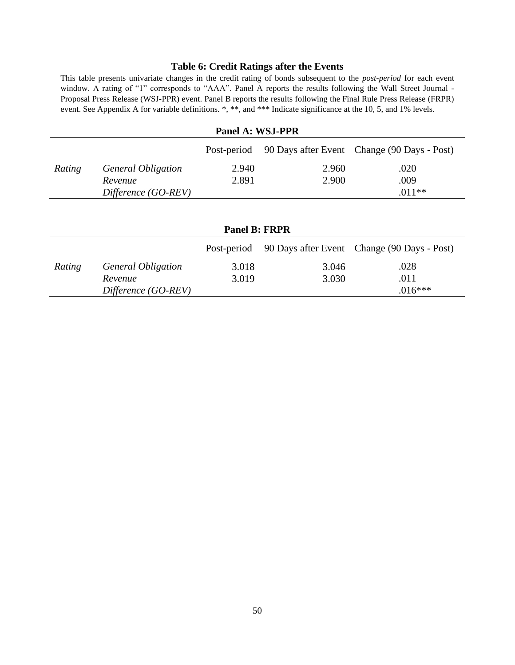# **Table 6: Credit Ratings after the Events**

This table presents univariate changes in the credit rating of bonds subsequent to the *post-period* for each event window. A rating of "1" corresponds to "AAA". Panel A reports the results following the Wall Street Journal - Proposal Press Release (WSJ-PPR) event. Panel B reports the results following the Final Rule Press Release (FRPR) event. See Appendix A for variable definitions. \*, \*\*, and \*\*\* Indicate significance at the 10, 5, and 1% levels.

| Panel A: WSJ-PPR                |                           |       |       |                                                         |  |  |
|---------------------------------|---------------------------|-------|-------|---------------------------------------------------------|--|--|
|                                 |                           |       |       | Post-period 90 Days after Event Change (90 Days - Post) |  |  |
| Rating                          | <b>General Obligation</b> | 2.940 | 2.960 | .020                                                    |  |  |
|                                 | Revenue                   | 2.891 | 2.900 | .009                                                    |  |  |
| $.011**$<br>Difference (GO-REV) |                           |       |       |                                                         |  |  |

| <b>Panel B: FRPR</b> |                                  |             |       |                                             |  |  |  |
|----------------------|----------------------------------|-------------|-------|---------------------------------------------|--|--|--|
|                      |                                  | Post-period |       | 90 Days after Event Change (90 Days - Post) |  |  |  |
| Rating               | <b>General Obligation</b>        | 3.018       | 3.046 | .028                                        |  |  |  |
|                      | Revenue                          | 3.019       | 3.030 | .011                                        |  |  |  |
|                      | $.016***$<br>Difference (GO-REV) |             |       |                                             |  |  |  |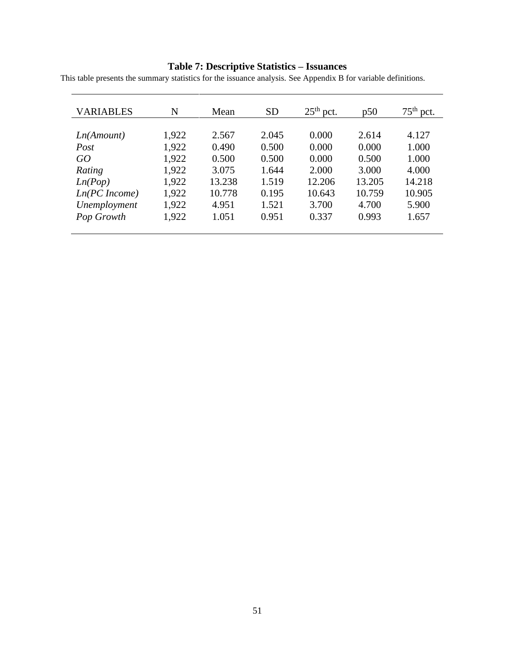#### **Table 7: Descriptive Statistics – Issuances**

This table presents the summary statistics for the issuance analysis. See Appendix B for variable definitions.

| <b>VARIABLES</b> | N     | Mean   | <b>SD</b> | $25th$ pct. | p50    | $75^{\text{th}}$<br>pct. |
|------------------|-------|--------|-----------|-------------|--------|--------------------------|
|                  |       |        |           |             |        |                          |
| Ln(Amount)       | 1,922 | 2.567  | 2.045     | 0.000       | 2.614  | 4.127                    |
| Post             | 1,922 | 0.490  | 0.500     | 0.000       | 0.000  | 1.000                    |
| GO               | 1,922 | 0.500  | 0.500     | 0.000       | 0.500  | 1.000                    |
| Rating           | 1,922 | 3.075  | 1.644     | 2.000       | 3.000  | 4.000                    |
| Ln(Pop)          | 1,922 | 13.238 | 1.519     | 12.206      | 13.205 | 14.218                   |
| Ln(PC Income)    | 1,922 | 10.778 | 0.195     | 10.643      | 10.759 | 10.905                   |
| Unemployment     | 1,922 | 4.951  | 1.521     | 3.700       | 4.700  | 5.900                    |
| Pop Growth       | 1,922 | 1.051  | 0.951     | 0.337       | 0.993  | 1.657                    |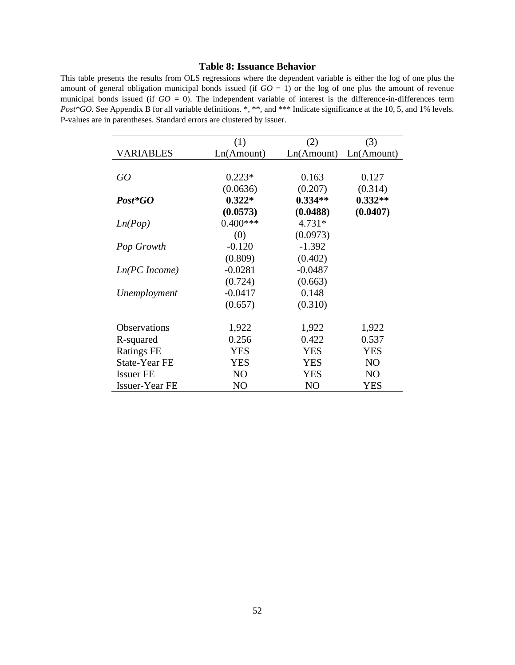#### **Table 8: Issuance Behavior**

This table presents the results from OLS regressions where the dependent variable is either the log of one plus the amount of general obligation municipal bonds issued (if  $GO = 1$ ) or the log of one plus the amount of revenue municipal bonds issued (if  $GO = 0$ ). The independent variable of interest is the difference-in-differences term *Post\*GO*. See Appendix B for all variable definitions. \*, \*\*, and \*\*\* Indicate significance at the 10, 5, and 1% levels. P-values are in parentheses. Standard errors are clustered by issuer.

|                   | (1)        | (2)        | (3)            |
|-------------------|------------|------------|----------------|
| <b>VARIABLES</b>  | Ln(Amount) | Ln(Amount) | Ln(Amount)     |
|                   |            |            |                |
| GO                | $0.223*$   | 0.163      | 0.127          |
|                   | (0.0636)   | (0.207)    | (0.314)        |
| Post*GO           | $0.322*$   | $0.334**$  | $0.332**$      |
|                   | (0.0573)   | (0.0488)   | (0.0407)       |
| Ln(Pop)           | $0.400***$ | $4.731*$   |                |
|                   | (0)        | (0.0973)   |                |
| Pop Growth        | $-0.120$   | $-1.392$   |                |
|                   | (0.809)    | (0.402)    |                |
| Ln(PC Income)     | $-0.0281$  | $-0.0487$  |                |
|                   | (0.724)    | (0.663)    |                |
| Unemployment      | $-0.0417$  | 0.148      |                |
|                   | (0.657)    | (0.310)    |                |
|                   |            |            |                |
| Observations      | 1,922      | 1,922      | 1,922          |
| R-squared         | 0.256      | 0.422      | 0.537          |
| <b>Ratings FE</b> | <b>YES</b> | <b>YES</b> | <b>YES</b>     |
| State-Year FE     | <b>YES</b> | <b>YES</b> | N <sub>O</sub> |
| <b>Issuer FE</b>  | NO         | <b>YES</b> | N <sub>O</sub> |
| Issuer-Year FE    | NO         | NO         | <b>YES</b>     |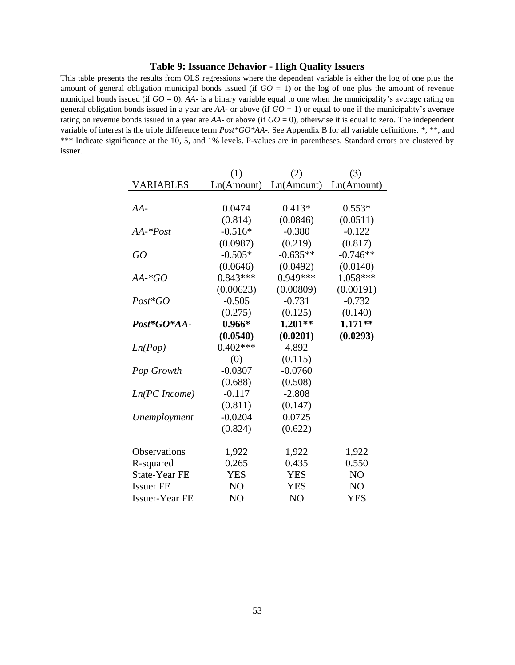#### **Table 9: Issuance Behavior - High Quality Issuers**

This table presents the results from OLS regressions where the dependent variable is either the log of one plus the amount of general obligation municipal bonds issued (if  $GO = 1$ ) or the log of one plus the amount of revenue municipal bonds issued (if  $GO = 0$ ). *AA*- is a binary variable equal to one when the municipality's average rating on general obligation bonds issued in a year are *AA-* or above (if *GO* = 1) or equal to one if the municipality's average rating on revenue bonds issued in a year are *AA-* or above (if *GO* = 0), otherwise it is equal to zero. The independent variable of interest is the triple difference term *Post\*GO\*AA-.* See Appendix B for all variable definitions. \*, \*\*, and \*\*\* Indicate significance at the 10, 5, and 1% levels. P-values are in parentheses. Standard errors are clustered by issuer.

|                       | (1)            | (2)            | (3)            |
|-----------------------|----------------|----------------|----------------|
| <b>VARIABLES</b>      | Ln(Amount)     | Ln(Amount)     | Ln(Amount)     |
|                       |                |                |                |
| AA-                   | 0.0474         | $0.413*$       | $0.553*$       |
|                       | (0.814)        | (0.0846)       | (0.0511)       |
| $AA$ -* $Post$        | $-0.516*$      | $-0.380$       | $-0.122$       |
|                       | (0.0987)       | (0.219)        | (0.817)        |
| GO                    | $-0.505*$      | $-0.635**$     | $-0.746**$     |
|                       | (0.0646)       | (0.0492)       | (0.0140)       |
| $AA$ -* $GO$          | $0.843***$     | $0.949***$     | 1.058***       |
|                       | (0.00623)      | (0.00809)      | (0.00191)      |
| $Post*GO$             | $-0.505$       | $-0.731$       | $-0.732$       |
|                       | (0.275)        | (0.125)        | (0.140)        |
| Post*GO*AA-           | $0.966*$       | $1.201**$      | $1.171**$      |
|                       | (0.0540)       | (0.0201)       | (0.0293)       |
| Ln(Pop)               | $0.402***$     | 4.892          |                |
|                       | (0)            | (0.115)        |                |
| Pop Growth            | $-0.0307$      | $-0.0760$      |                |
|                       | (0.688)        | (0.508)        |                |
| Ln(PC Income)         | $-0.117$       | $-2.808$       |                |
|                       | (0.811)        | (0.147)        |                |
| Unemployment          | $-0.0204$      | 0.0725         |                |
|                       | (0.824)        | (0.622)        |                |
|                       |                |                |                |
| <b>Observations</b>   | 1,922          | 1,922          | 1,922          |
| R-squared             | 0.265          | 0.435          | 0.550          |
| <b>State-Year FE</b>  | <b>YES</b>     | <b>YES</b>     | NO             |
| <b>Issuer FE</b>      | N <sub>O</sub> | <b>YES</b>     | N <sub>O</sub> |
| <b>Issuer-Year FE</b> | N <sub>O</sub> | N <sub>O</sub> | <b>YES</b>     |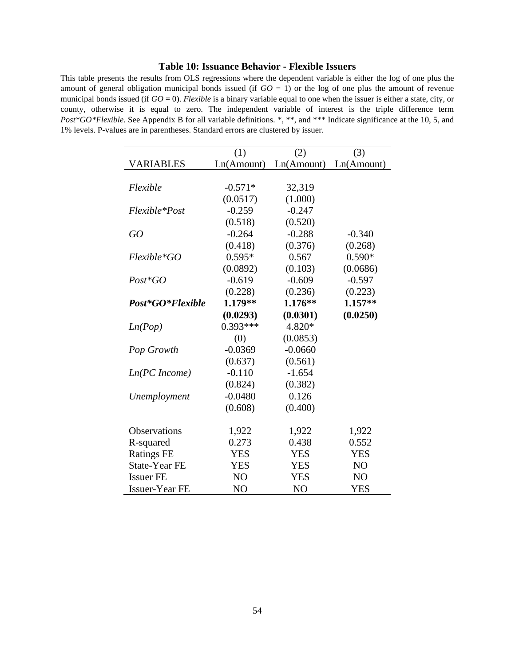#### **Table 10: Issuance Behavior - Flexible Issuers**

This table presents the results from OLS regressions where the dependent variable is either the log of one plus the amount of general obligation municipal bonds issued (if  $GO = 1$ ) or the log of one plus the amount of revenue municipal bonds issued (if  $GO = 0$ ). *Flexible* is a binary variable equal to one when the issuer is either a state, city, or county, otherwise it is equal to zero. The independent variable of interest is the triple difference term *Post\*GO\*Flexible.* See Appendix B for all variable definitions. \*, \*\*, and \*\*\* Indicate significance at the 10, 5, and 1% levels. P-values are in parentheses. Standard errors are clustered by issuer.

|                       | (1)            | (2)            | (3)            |
|-----------------------|----------------|----------------|----------------|
| <b>VARIABLES</b>      | Ln(Amount)     | Ln(Amount)     | Ln(Amount)     |
|                       |                |                |                |
| Flexible              | $-0.571*$      | 32,319         |                |
|                       | (0.0517)       | (1.000)        |                |
| Flexible*Post         | $-0.259$       | $-0.247$       |                |
|                       | (0.518)        | (0.520)        |                |
| GO                    | $-0.264$       | $-0.288$       | $-0.340$       |
|                       | (0.418)        | (0.376)        | (0.268)        |
| Flexible*GO           | $0.595*$       | 0.567          | $0.590*$       |
|                       | (0.0892)       | (0.103)        | (0.0686)       |
| $Post*GO$             | $-0.619$       | $-0.609$       | $-0.597$       |
|                       | (0.228)        | (0.236)        | (0.223)        |
| Post*GO*Flexible      | $1.179**$      | $1.176**$      | $1.157**$      |
|                       | (0.0293)       | (0.0301)       | (0.0250)       |
| Ln(Pop)               | $0.393***$     | 4.820*         |                |
|                       | (0)            | (0.0853)       |                |
| Pop Growth            | $-0.0369$      | $-0.0660$      |                |
|                       | (0.637)        | (0.561)        |                |
| Ln(PC Income)         | $-0.110$       | $-1.654$       |                |
|                       | (0.824)        | (0.382)        |                |
| Unemployment          | $-0.0480$      | 0.126          |                |
|                       | (0.608)        | (0.400)        |                |
|                       |                |                |                |
| <b>Observations</b>   | 1,922          | 1,922          | 1,922          |
| R-squared             | 0.273          | 0.438          | 0.552          |
| <b>Ratings FE</b>     | <b>YES</b>     | <b>YES</b>     | <b>YES</b>     |
| State-Year FE         | <b>YES</b>     | <b>YES</b>     | N <sub>O</sub> |
| <b>Issuer FE</b>      | N <sub>O</sub> | <b>YES</b>     | N <sub>O</sub> |
| <b>Issuer-Year FE</b> | NO             | N <sub>O</sub> | <b>YES</b>     |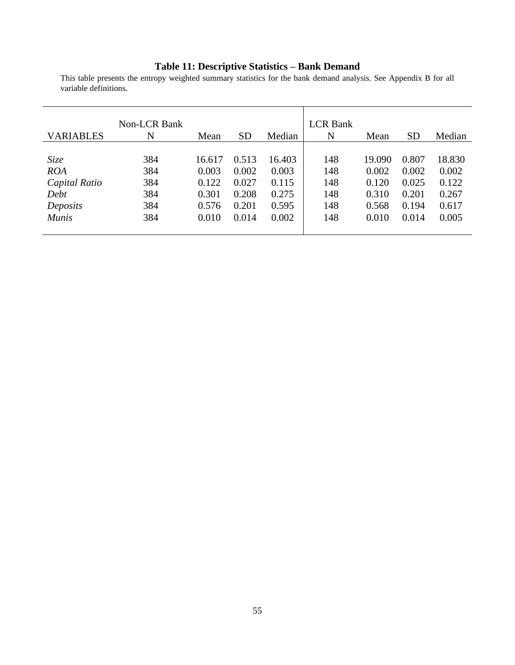#### **Table 11: Descriptive Statistics – Bank Demand**

This table presents the entropy weighted summary statistics for the bank demand analysis. See Appendix B for all variable definitions.

| <b>VARIABLES</b> | <b>Non-LCR Bank</b><br>N | Mean   | <b>SD</b> | Median | <b>LCR</b> Bank<br>N | Mean   | <b>SD</b> | Median |
|------------------|--------------------------|--------|-----------|--------|----------------------|--------|-----------|--------|
|                  |                          |        |           |        |                      |        |           |        |
| Size             | 384                      | 16.617 | 0.513     | 16.403 | 148                  | 19.090 | 0.807     | 18.830 |
| <b>ROA</b>       | 384                      | 0.003  | 0.002     | 0.003  | 148                  | 0.002  | 0.002     | 0.002  |
| Capital Ratio    | 384                      | 0.122  | 0.027     | 0.115  | 148                  | 0.120  | 0.025     | 0.122  |
| Debt             | 384                      | 0.301  | 0.208     | 0.275  | 148                  | 0.310  | 0.201     | 0.267  |
| Deposits         | 384                      | 0.576  | 0.201     | 0.595  | 148                  | 0.568  | 0.194     | 0.617  |
| <b>Munis</b>     | 384                      | 0.010  | 0.014     | 0.002  | 148                  | 0.010  | 0.014     | 0.005  |
|                  |                          |        |           |        |                      |        |           |        |